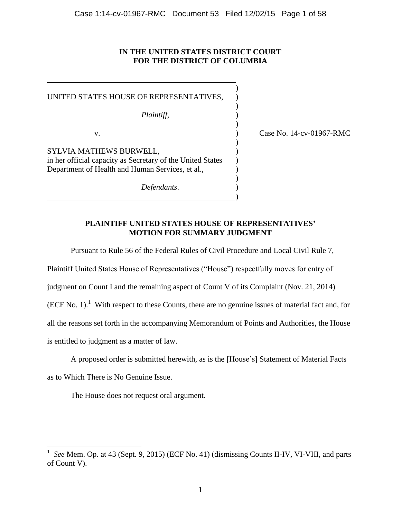### **IN THE UNITED STATES DISTRICT COURT FOR THE DISTRICT OF COLUMBIA**

| UNITED STATES HOUSE OF REPRESENTATIVES,                                                                        |        |
|----------------------------------------------------------------------------------------------------------------|--------|
| Plaintiff,                                                                                                     |        |
| v.                                                                                                             | Case I |
| SYLVIA MATHEWS BURWELL,                                                                                        |        |
| in her official capacity as Secretary of the United States<br>Department of Health and Human Services, et al., |        |
|                                                                                                                |        |
| Defendants.                                                                                                    |        |

No. 14-cv-01967-RMC

## **PLAINTIFF UNITED STATES HOUSE OF REPRESENTATIVES' MOTION FOR SUMMARY JUDGMENT**

)

Pursuant to Rule 56 of the Federal Rules of Civil Procedure and Local Civil Rule 7,

Plaintiff United States House of Representatives ("House") respectfully moves for entry of

judgment on Count I and the remaining aspect of Count V of its Complaint (Nov. 21, 2014)

 $(ECF No. 1)$ .<sup>1</sup> With respect to these Counts, there are no genuine issues of material fact and, for

all the reasons set forth in the accompanying Memorandum of Points and Authorities, the House

is entitled to judgment as a matter of law.

A proposed order is submitted herewith, as is the [House's] Statement of Material Facts

as to Which There is No Genuine Issue.

 $\overline{\phantom{a}}$ 

The House does not request oral argument.

<sup>1</sup>  *See* Mem. Op. at 43 (Sept. 9, 2015) (ECF No. 41) (dismissing Counts II-IV, VI-VIII, and parts of Count V).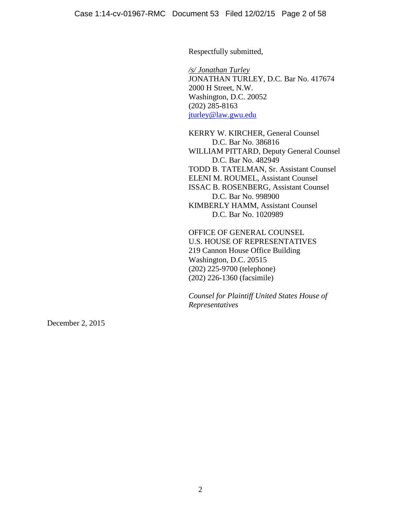Respectfully submitted,

*/s/ Jonathan Turley* JONATHAN TURLEY, D.C. Bar No. 417674 2000 H Street, N.W. Washington, D.C. 20052 (202) 285-8163 [jturley@law.gwu.edu](mailto:jturley@law.gwu.edu)

KERRY W. KIRCHER, General Counsel D.C. Bar No. 386816 WILLIAM PITTARD, Deputy General Counsel D.C. Bar No. 482949 TODD B. TATELMAN, Sr. Assistant Counsel ELENI M. ROUMEL, Assistant Counsel ISSAC B. ROSENBERG, Assistant Counsel D.C. Bar No. 998900 KIMBERLY HAMM, Assistant Counsel D.C. Bar No. 1020989

OFFICE OF GENERAL COUNSEL U.S. HOUSE OF REPRESENTATIVES 219 Cannon House Office Building Washington, D.C. 20515 (202) 225-9700 (telephone) (202) 226-1360 (facsimile)

*Counsel for Plaintiff United States House of Representatives*

December 2, 2015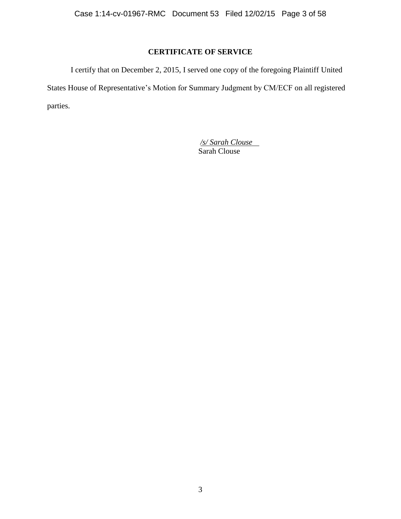# **CERTIFICATE OF SERVICE**

I certify that on December 2, 2015, I served one copy of the foregoing Plaintiff United States House of Representative's Motion for Summary Judgment by CM/ECF on all registered parties.

> */s/ Sarah Clouse* Sarah Clouse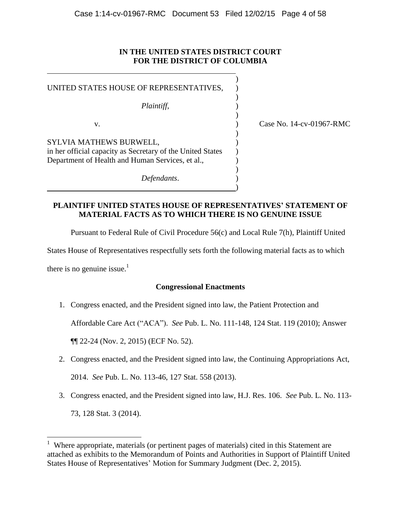## **IN THE UNITED STATES DISTRICT COURT FOR THE DISTRICT OF COLUMBIA**

| UNITED STATES HOUSE OF REPRESENTATIVES,<br>Plaintiff,                                                                                     |                          |
|-------------------------------------------------------------------------------------------------------------------------------------------|--------------------------|
| v.                                                                                                                                        | Case No. 14-cv-01967-RMC |
| SYLVIA MATHEWS BURWELL,<br>in her official capacity as Secretary of the United States<br>Department of Health and Human Services, et al., |                          |
| Defendants.                                                                                                                               |                          |

**PLAINTIFF UNITED STATES HOUSE OF REPRESENTATIVES' STATEMENT OF MATERIAL FACTS AS TO WHICH THERE IS NO GENUINE ISSUE**

Pursuant to Federal Rule of Civil Procedure 56(c) and Local Rule 7(h), Plaintiff United

States House of Representatives respectfully sets forth the following material facts as to which

there is no genuine issue.<sup>1</sup>

### **Congressional Enactments**

1. Congress enacted, and the President signed into law, the Patient Protection and

Affordable Care Act ("ACA"). *See* Pub. L. No. 111-148, 124 Stat. 119 (2010); Answer

¶¶ 22-24 (Nov. 2, 2015) (ECF No. 52).

- 2. Congress enacted, and the President signed into law, the Continuing Appropriations Act, 2014. *See* Pub. L. No. 113-46, 127 Stat. 558 (2013).
- 3. Congress enacted, and the President signed into law, H.J. Res. 106. *See* Pub. L. No. 113-

73, 128 Stat. 3 (2014).

<sup>&</sup>lt;sup>1</sup> Where appropriate, materials (or pertinent pages of materials) cited in this Statement are attached as exhibits to the Memorandum of Points and Authorities in Support of Plaintiff United States House of Representatives' Motion for Summary Judgment (Dec. 2, 2015).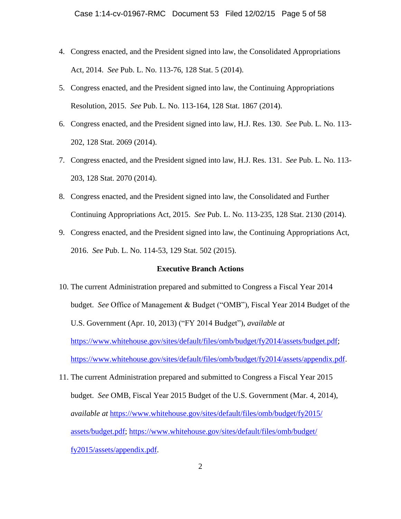- 4. Congress enacted, and the President signed into law, the Consolidated Appropriations Act, 2014. *See* Pub. L. No. 113-76, 128 Stat. 5 (2014).
- 5. Congress enacted, and the President signed into law, the Continuing Appropriations Resolution, 2015. *See* Pub. L. No. 113-164, 128 Stat. 1867 (2014).
- 6. Congress enacted, and the President signed into law, H.J. Res. 130. *See* Pub. L. No. 113- 202, 128 Stat. 2069 (2014).
- 7. Congress enacted, and the President signed into law, H.J. Res. 131. *See* Pub. L. No. 113- 203, 128 Stat. 2070 (2014).
- 8. Congress enacted, and the President signed into law, the Consolidated and Further Continuing Appropriations Act, 2015. *See* Pub. L. No. 113-235, 128 Stat. 2130 (2014).
- 9. Congress enacted, and the President signed into law, the Continuing Appropriations Act, 2016. *See* Pub. L. No. 114-53, 129 Stat. 502 (2015).

### **Executive Branch Actions**

- 10. The current Administration prepared and submitted to Congress a Fiscal Year 2014 budget. *See* Office of Management & Budget ("OMB"), Fiscal Year 2014 Budget of the U.S. Government (Apr. 10, 2013) ("FY 2014 Budget"), *available at* [https://www.whitehouse.gov/sites/default/files/omb/budget/fy2014/assets/budget.pdf;](https://www.whitehouse.gov/sites/default/files/omb/budget/fy2014/assets/budget.pdf) [https://www.whitehouse.gov/sites/default/files/omb/budget/fy2014/assets/appendix.pdf.](https://www.whitehouse.gov/sites/default/files/omb/budget/fy2014/assets/appendix.pdf)
- 11. The current Administration prepared and submitted to Congress a Fiscal Year 2015 budget. *See* OMB, Fiscal Year 2015 Budget of the U.S. Government (Mar. 4, 2014), *available at* [https://www.whitehouse.gov/sites/default/files/omb/budget/fy2015/](https://www.whitehouse.gov/sites/default/files/omb/budget/fy2015/%0bassets/budget.pdf) [assets/budget.pdf;](https://www.whitehouse.gov/sites/default/files/omb/budget/fy2015/%0bassets/budget.pdf) [https://www.whitehouse.gov/sites/default/files/omb/budget/](https://www.whitehouse.gov/sites/default/files/omb/budget/%0bfy2015/assets/appendix.pdf) [fy2015/assets/appendix.pdf.](https://www.whitehouse.gov/sites/default/files/omb/budget/%0bfy2015/assets/appendix.pdf)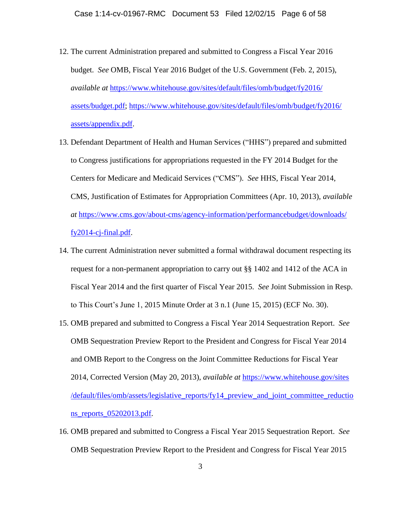- 12. The current Administration prepared and submitted to Congress a Fiscal Year 2016 budget. *See* OMB, Fiscal Year 2016 Budget of the U.S. Government (Feb. 2, 2015), *available at* [https://www.whitehouse.gov/sites/default/files/omb/budget/fy2016/](https://www.whitehouse.gov/sites/default/files/omb/budget/fy2016/%0bassets/budget.pdf) [assets/budget.pdf;](https://www.whitehouse.gov/sites/default/files/omb/budget/fy2016/%0bassets/budget.pdf) [https://www.whitehouse.gov/sites/default/files/omb/budget/fy2016/](https://www.whitehouse.gov/sites/default/files/omb/budget/fy2016/%0bassets/appendix.pdf) [assets/appendix.pdf.](https://www.whitehouse.gov/sites/default/files/omb/budget/fy2016/%0bassets/appendix.pdf)
- 13. Defendant Department of Health and Human Services ("HHS") prepared and submitted to Congress justifications for appropriations requested in the FY 2014 Budget for the Centers for Medicare and Medicaid Services ("CMS"). *See* HHS, Fiscal Year 2014, CMS, Justification of Estimates for Appropriation Committees (Apr. 10, 2013), *available at* [https://www.cms.gov/about-cms/agency-information/performancebudget/downloads/](https://www.cms.gov/about-cms/agency-information/performancebudget/downloads/fy2014-cj-final.pdf) [fy2014-cj-final.pdf.](https://www.cms.gov/about-cms/agency-information/performancebudget/downloads/fy2014-cj-final.pdf)
- 14. The current Administration never submitted a formal withdrawal document respecting its request for a non-permanent appropriation to carry out §§ 1402 and 1412 of the ACA in Fiscal Year 2014 and the first quarter of Fiscal Year 2015. *See* Joint Submission in Resp. to This Court's June 1, 2015 Minute Order at 3 n.1 (June 15, 2015) (ECF No. 30).
- 15. OMB prepared and submitted to Congress a Fiscal Year 2014 Sequestration Report. *See*  OMB Sequestration Preview Report to the President and Congress for Fiscal Year 2014 and OMB Report to the Congress on the Joint Committee Reductions for Fiscal Year 2014, Corrected Version (May 20, 2013), *available at* [https://www.whitehouse.gov/sites](https://www.whitehouse.gov/sites%0b/default/files/omb/assets/legislative_reports/fy14_preview_and_joint_committee_reductions_reports_05202013.pdf) [/default/files/omb/assets/legislative\\_reports/fy14\\_preview\\_and\\_joint\\_committee\\_reductio](https://www.whitehouse.gov/sites%0b/default/files/omb/assets/legislative_reports/fy14_preview_and_joint_committee_reductions_reports_05202013.pdf) [ns\\_reports\\_05202013.pdf.](https://www.whitehouse.gov/sites%0b/default/files/omb/assets/legislative_reports/fy14_preview_and_joint_committee_reductions_reports_05202013.pdf)
- 16. OMB prepared and submitted to Congress a Fiscal Year 2015 Sequestration Report. *See*  OMB Sequestration Preview Report to the President and Congress for Fiscal Year 2015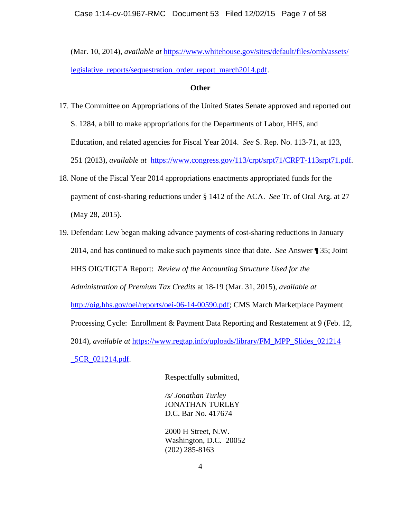Case 1:14-cv-01967-RMC Document 53 Filed 12/02/15 Page 7 of 58

(Mar. 10, 2014), *available at* [https://www.whitehouse.gov/sites/default/files/omb/assets/](https://www.whitehouse.gov/sites/default/files/omb/assets/%0blegislative_reports/sequestration_order_report_march2014.pdf) [legislative\\_reports/sequestration\\_order\\_report\\_march2014.pdf.](https://www.whitehouse.gov/sites/default/files/omb/assets/%0blegislative_reports/sequestration_order_report_march2014.pdf)

### **Other**

- 17. The Committee on Appropriations of the United States Senate approved and reported out S. 1284, a bill to make appropriations for the Departments of Labor, HHS, and Education, and related agencies for Fiscal Year 2014. *See* S. Rep. No. 113-71, at 123, 251 (2013), *available at* [https://www.congress.gov/113/crpt/srpt71/CRPT-113srpt71.pdf.](https://www.congress.gov/113/crpt/srpt71/CRPT-113srpt71.pdf)
- 18. None of the Fiscal Year 2014 appropriations enactments appropriated funds for the payment of cost-sharing reductions under § 1412 of the ACA. *See* Tr. of Oral Arg. at 27 (May 28, 2015).
- 19. Defendant Lew began making advance payments of cost-sharing reductions in January 2014, and has continued to make such payments since that date. *See* Answer ¶ 35; Joint HHS OIG/TIGTA Report: *Review of the Accounting Structure Used for the Administration of Premium Tax Credits* at 18-19 (Mar. 31, 2015), *available at* [http://oig.hhs.gov/oei/reports/oei-06-14-00590.pdf;](oig.hhs.gov/oei/reports/oei-06-14-00590.pdf) CMS March Marketplace Payment Processing Cycle: Enrollment & Payment Data Reporting and Restatement at 9 (Feb. 12, 2014), *available at* https://www.regtap.info/uploads/library/FM\_MPP\_Slides\_021214 \_5CR\_021214.pdf.

Respectfully submitted,

*/s/ Jonathan Turley* JONATHAN TURLEY D.C. Bar No. 417674

2000 H Street, N.W. Washington, D.C. 20052 (202) 285-8163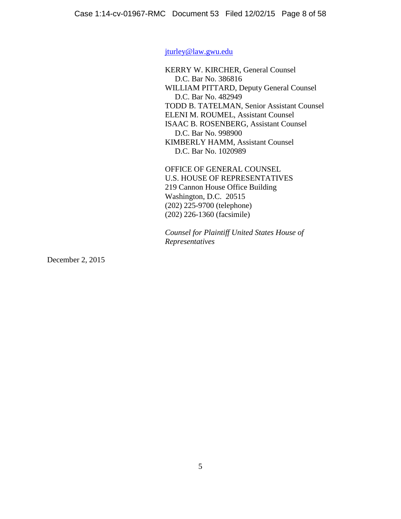[jturley@law.gwu.edu](mailto:jturley@law.gwu.edu)

KERRY W. KIRCHER, General Counsel D.C. Bar No. 386816 WILLIAM PITTARD, Deputy General Counsel D.C. Bar No. 482949 TODD B. TATELMAN, Senior Assistant Counsel ELENI M. ROUMEL, Assistant Counsel ISAAC B. ROSENBERG, Assistant Counsel D.C. Bar No. 998900 KIMBERLY HAMM, Assistant Counsel D.C. Bar No. 1020989

OFFICE OF GENERAL COUNSEL U.S. HOUSE OF REPRESENTATIVES 219 Cannon House Office Building Washington, D.C. 20515 (202) 225-9700 (telephone) (202) 226-1360 (facsimile)

*Counsel for Plaintiff United States House of Representatives*

December 2, 2015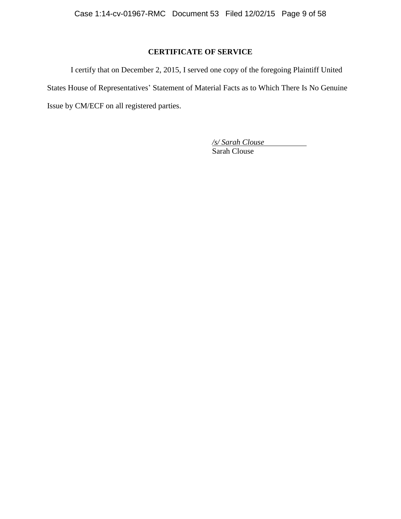# **CERTIFICATE OF SERVICE**

I certify that on December 2, 2015, I served one copy of the foregoing Plaintiff United States House of Representatives' Statement of Material Facts as to Which There Is No Genuine Issue by CM/ECF on all registered parties.

> */s/ Sarah Clouse* Sarah Clouse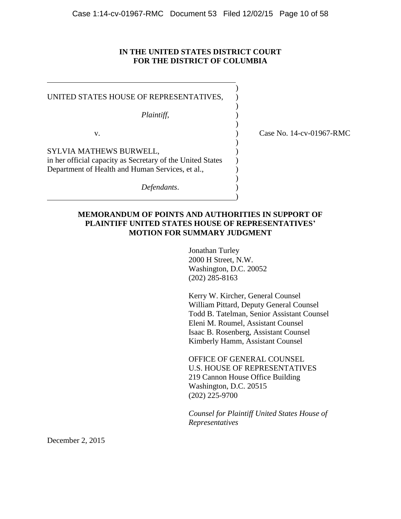### **IN THE UNITED STATES DISTRICT COURT FOR THE DISTRICT OF COLUMBIA**

| UNITED STATES HOUSE OF REPRESENTATIVES,<br>Plaintiff,                                                                                     |                          |
|-------------------------------------------------------------------------------------------------------------------------------------------|--------------------------|
| v.                                                                                                                                        | Case No. 14-cv-01967-RMC |
| SYLVIA MATHEWS BURWELL,<br>in her official capacity as Secretary of the United States<br>Department of Health and Human Services, et al., |                          |
| Defendants.                                                                                                                               |                          |

## **MEMORANDUM OF POINTS AND AUTHORITIES IN SUPPORT OF PLAINTIFF UNITED STATES HOUSE OF REPRESENTATIVES' MOTION FOR SUMMARY JUDGMENT**

Jonathan Turley 2000 H Street, N.W. Washington, D.C. 20052 (202) 285-8163

Kerry W. Kircher, General Counsel William Pittard, Deputy General Counsel Todd B. Tatelman, Senior Assistant Counsel Eleni M. Roumel, Assistant Counsel Isaac B. Rosenberg, Assistant Counsel Kimberly Hamm, Assistant Counsel

OFFICE OF GENERAL COUNSEL U.S. HOUSE OF REPRESENTATIVES 219 Cannon House Office Building Washington, D.C. 20515 (202) 225-9700

*Counsel for Plaintiff United States House of Representatives*

December 2, 2015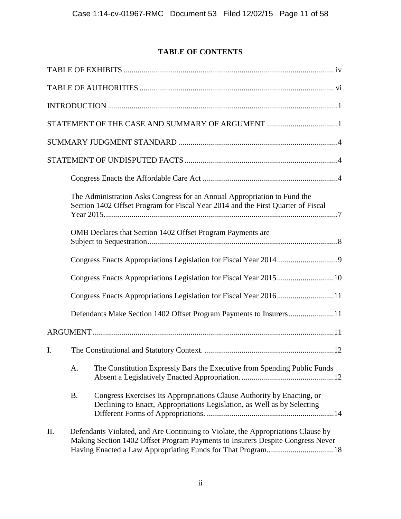# **TABLE OF CONTENTS**

|    |           | STATEMENT OF THE CASE AND SUMMARY OF ARGUMENT 1                                                                                                                                                                                   |
|----|-----------|-----------------------------------------------------------------------------------------------------------------------------------------------------------------------------------------------------------------------------------|
|    |           |                                                                                                                                                                                                                                   |
|    |           |                                                                                                                                                                                                                                   |
|    |           |                                                                                                                                                                                                                                   |
|    |           | The Administration Asks Congress for an Annual Appropriation to Fund the<br>Section 1402 Offset Program for Fiscal Year 2014 and the First Quarter of Fiscal                                                                      |
|    |           | OMB Declares that Section 1402 Offset Program Payments are                                                                                                                                                                        |
|    |           |                                                                                                                                                                                                                                   |
|    |           | Congress Enacts Appropriations Legislation for Fiscal Year 201510                                                                                                                                                                 |
|    |           |                                                                                                                                                                                                                                   |
|    |           | Defendants Make Section 1402 Offset Program Payments to Insurers11                                                                                                                                                                |
|    |           |                                                                                                                                                                                                                                   |
| I. |           |                                                                                                                                                                                                                                   |
|    | A.        | The Constitution Expressly Bars the Executive from Spending Public Funds                                                                                                                                                          |
|    | <b>B.</b> | Congress Exercises Its Appropriations Clause Authority by Enacting, or<br>Declining to Enact, Appropriations Legislation, as Well as by Selecting                                                                                 |
| Π. |           | Defendants Violated, and Are Continuing to Violate, the Appropriations Clause by<br>Making Section 1402 Offset Program Payments to Insurers Despite Congress Never<br>Having Enacted a Law Appropriating Funds for That Program18 |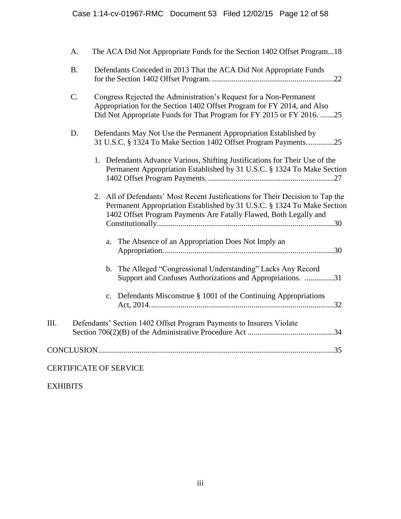|      | A.              | The ACA Did Not Appropriate Funds for the Section 1402 Offset Program18                                                                                                                                                        |
|------|-----------------|--------------------------------------------------------------------------------------------------------------------------------------------------------------------------------------------------------------------------------|
|      | <b>B.</b>       | Defendants Conceded in 2013 That the ACA Did Not Appropriate Funds                                                                                                                                                             |
|      | $\mathcal{C}$ . | Congress Rejected the Administration's Request for a Non-Permanent<br>Appropriation for the Section 1402 Offset Program for FY 2014, and Also<br>Did Not Appropriate Funds for That Program for FY 2015 or FY 2016. 25         |
|      | D.              | Defendants May Not Use the Permanent Appropriation Established by<br>31 U.S.C. § 1324 To Make Section 1402 Offset Program Payments25                                                                                           |
|      |                 | 1. Defendants Advance Various, Shifting Justifications for Their Use of the<br>Permanent Appropriation Established by 31 U.S.C. § 1324 To Make Section                                                                         |
|      |                 | 2. All of Defendants' Most Recent Justifications for Their Decision to Tap the<br>Permanent Appropriation Established by 31 U.S.C. § 1324 To Make Section<br>1402 Offset Program Payments Are Fatally Flawed, Both Legally and |
|      |                 | The Absence of an Appropriation Does Not Imply an<br>a.                                                                                                                                                                        |
|      |                 | b. The Alleged "Congressional Understanding" Lacks Any Record<br>Support and Confuses Authorizations and Appropriations. 31                                                                                                    |
|      |                 | Defendants Misconstrue § 1001 of the Continuing Appropriations<br>$\mathbf{c}$ .                                                                                                                                               |
| III. |                 | Defendants' Section 1402 Offset Program Payments to Insurers Violate                                                                                                                                                           |
|      |                 |                                                                                                                                                                                                                                |
|      |                 | <b>CERTIFICATE OF SERVICE</b>                                                                                                                                                                                                  |

EXHIBITS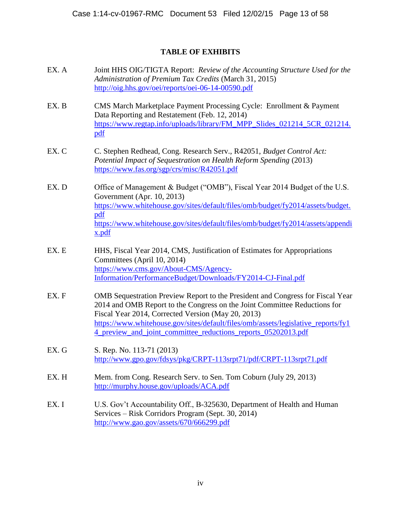# **TABLE OF EXHIBITS**

- EX. A Joint HHS OIG/TIGTA Report: *Review of the Accounting Structure Used for the Administration of Premium Tax Credits* (March 31, 2015) [http://oig.hhs.gov/oei/reports/oei-06-14-00590.pdf](oig.hhs.gov/oei/reports/oei-06-14-00590.pdf)
- EX. B CMS March Marketplace Payment Processing Cycle: Enrollment & Payment Data Reporting and Restatement (Feb. 12, 2014) [https://www.regtap.info/uploads/library/FM\\_MPP\\_Slides\\_021214\\_5CR\\_021214.](https://www.regtap.info/uploads/library/FM_MPP_Slides_021214_5CR_021214.pdf) [pdf](https://www.regtap.info/uploads/library/FM_MPP_Slides_021214_5CR_021214.pdf)
- EX. C C. Stephen Redhead, Cong. Research Serv., R42051, *Budget Control Act: Potential Impact of Sequestration on Health Reform Spending* (2013) <https://www.fas.org/sgp/crs/misc/R42051.pdf>
- EX. D Office of Management & Budget ("OMB"), Fiscal Year 2014 Budget of the U.S. Government (Apr. 10, 2013) [https://www.whitehouse.gov/sites/default/files/omb/budget/fy2014/assets/budget.](https://www.whitehouse.gov/sites/default/files/omb/budget/fy2014/assets/budget.pdf) [pdf](https://www.whitehouse.gov/sites/default/files/omb/budget/fy2014/assets/budget.pdf) [https://www.whitehouse.gov/sites/default/files/omb/budget/fy2014/assets/appendi](https://www.whitehouse.gov/sites/default/files/omb/budget/fy2014/assets/appendix.pdf) [x.pdf](https://www.whitehouse.gov/sites/default/files/omb/budget/fy2014/assets/appendix.pdf)
- EX. E HHS, Fiscal Year 2014, CMS, Justification of Estimates for Appropriations Committees (April 10, 2014) [https://www.cms.gov/About-CMS/Agency-](https://www.cms.gov/About-CMS/Agency-Information/PerformanceBudget/Downloads/FY2014-CJ-Final.pdf)[Information/PerformanceBudget/Downloads/FY2014-CJ-Final.pdf](https://www.cms.gov/About-CMS/Agency-Information/PerformanceBudget/Downloads/FY2014-CJ-Final.pdf)
- EX. F **OMB** Sequestration Preview Report to the President and Congress for Fiscal Year 2014 and OMB Report to the Congress on the Joint Committee Reductions for Fiscal Year 2014, Corrected Version (May 20, 2013) [https://www.whitehouse.gov/sites/default/files/omb/assets/legislative\\_reports/fy1](https://www.whitehouse.gov/sites/default/files/omb/assets/legislative_reports/fy14_preview_and_joint_committee_reductions_reports_05202013.pdf) 4 preview and joint committee reductions reports 05202013.pdf
- EX. G S. Rep. No. 113-71 (2013) [http://www.gpo.gov/fdsys/pkg/CRPT-113srpt71/pdf/CRPT-113srpt71.pdf](www.gpo.gov/fdsys/pkg/CRPT-113srpt71/pdf/CRPT-113srpt71.pdf)
- EX. H Mem. from Cong. Research Serv. to Sen. Tom Coburn (July 29, 2013) [http://murphy.house.gov/uploads/ACA.pdf](murphy.house.gov/uploads/ACA.pdf)
- EX. I U.S. Gov't Accountability Off., B-325630, Department of Health and Human Services – Risk Corridors Program (Sept. 30, 2014) [http://www.gao.gov/assets/670/666299.pdf](www.gao.gov/assets/670/666299.pdf)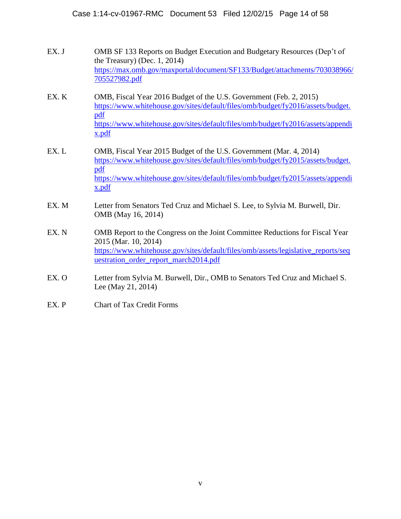- EX. J CMB SF 133 Reports on Budget Execution and Budgetary Resources (Dep't of the Treasury) (Dec. 1, 2014) [https://max.omb.gov/maxportal/document/SF133/Budget/attachments/703038966/](https://max.omb.gov/maxportal/document/SF133/Budget/attachments/703038966/705527982.pdf) [705527982.pdf](https://max.omb.gov/maxportal/document/SF133/Budget/attachments/703038966/705527982.pdf)
- EX. K OMB, Fiscal Year 2016 Budget of the U.S. Government (Feb. 2, 2015) [https://www.whitehouse.gov/sites/default/files/omb/budget/fy2016/assets/budget.](https://www.whitehouse.gov/sites/default/files/omb/budget/fy2016/assets/budget.pdf) [pdf](https://www.whitehouse.gov/sites/default/files/omb/budget/fy2016/assets/budget.pdf) [https://www.whitehouse.gov/sites/default/files/omb/budget/fy2016/assets/appendi](https://www.whitehouse.gov/sites/default/files/omb/budget/fy2016/assets/appendix.pdf) [x.pdf](https://www.whitehouse.gov/sites/default/files/omb/budget/fy2016/assets/appendix.pdf)
- EX. L OMB, Fiscal Year 2015 Budget of the U.S. Government (Mar. 4, 2014) [https://www.whitehouse.gov/sites/default/files/omb/budget/fy2015/assets/budget.](https://www.whitehouse.gov/sites/default/files/omb/budget/fy2015/assets/budget.pdf) [pdf](https://www.whitehouse.gov/sites/default/files/omb/budget/fy2015/assets/budget.pdf) [https://www.whitehouse.gov/sites/default/files/omb/budget/fy2015/assets/appendi](https://www.whitehouse.gov/sites/default/files/omb/budget/fy2015/assets/appendix.pdf) [x.pdf](https://www.whitehouse.gov/sites/default/files/omb/budget/fy2015/assets/appendix.pdf)
- EX. M Letter from Senators Ted Cruz and Michael S. Lee, to Sylvia M. Burwell, Dir. OMB (May 16, 2014)
- EX. N **OMB** Report to the Congress on the Joint Committee Reductions for Fiscal Year 2015 (Mar. 10, 2014) [https://www.whitehouse.gov/sites/default/files/omb/assets/legislative\\_reports/seq](https://www.whitehouse.gov/sites/default/files/omb/assets/legislative_reports/sequestration_order_report_march2014.pdf) [uestration\\_order\\_report\\_march2014.pdf](https://www.whitehouse.gov/sites/default/files/omb/assets/legislative_reports/sequestration_order_report_march2014.pdf)
- EX. O Letter from Sylvia M. Burwell, Dir., OMB to Senators Ted Cruz and Michael S. Lee (May 21, 2014)
- EX. P Chart of Tax Credit Forms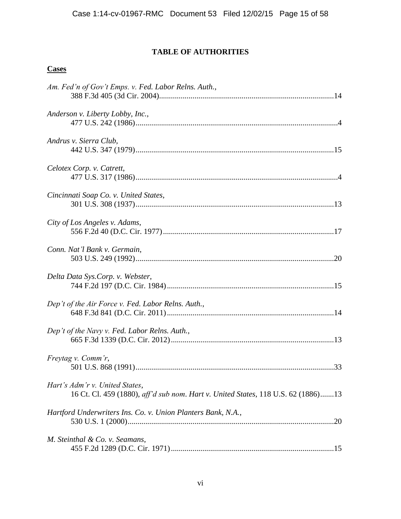# **TABLE OF AUTHORITIES**

# **Cases**

| Am. Fed'n of Gov't Emps. v. Fed. Labor Relns. Auth.,                                                                |
|---------------------------------------------------------------------------------------------------------------------|
| Anderson v. Liberty Lobby, Inc.,                                                                                    |
| Andrus v. Sierra Club,                                                                                              |
| Celotex Corp. v. Catrett,                                                                                           |
| Cincinnati Soap Co. v. United States,                                                                               |
| City of Los Angeles v. Adams,                                                                                       |
| Conn. Nat'l Bank v. Germain,                                                                                        |
| Delta Data Sys.Corp. v. Webster,                                                                                    |
| Dep't of the Air Force v. Fed. Labor Relns. Auth.,                                                                  |
| Dep't of the Navy v. Fed. Labor Relns. Auth.,                                                                       |
| Freytag v. Comm'r,                                                                                                  |
| Hart's Adm'r v. United States,<br>16 Ct. Cl. 459 (1880), aff'd sub nom. Hart v. United States, 118 U.S. 62 (1886)13 |
| Hartford Underwriters Ins. Co. v. Union Planters Bank, N.A.,                                                        |
| M. Steinthal & Co. v. Seamans,                                                                                      |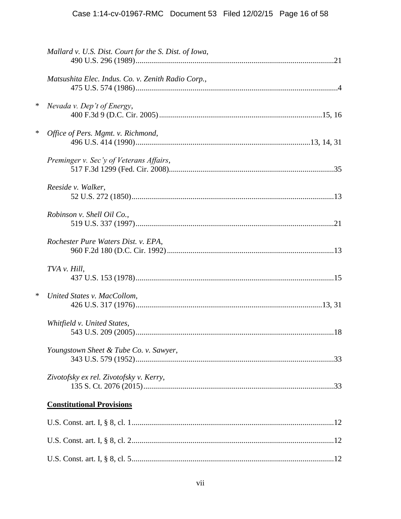|   | Mallard v. U.S. Dist. Court for the S. Dist. of Iowa, |
|---|-------------------------------------------------------|
|   | Matsushita Elec. Indus. Co. v. Zenith Radio Corp.,    |
| ∗ | Nevada v. Dep't of Energy,                            |
| ∗ | Office of Pers. Mgmt. v. Richmond,                    |
|   | Preminger v. Sec'y of Veterans Affairs,               |
|   | Reeside v. Walker,                                    |
|   | Robinson v. Shell Oil Co.,                            |
|   | Rochester Pure Waters Dist. v. EPA,                   |
|   | TVA v. Hill,                                          |
| ∗ | United States v. MacCollom,                           |
|   | Whitfield v. United States,                           |
|   | Youngstown Sheet & Tube Co. v. Sawyer,                |
|   | Zivotofsky ex rel. Zivotofsky v. Kerry,               |
|   | <b>Constitutional Provisions</b>                      |
|   |                                                       |
|   |                                                       |
|   |                                                       |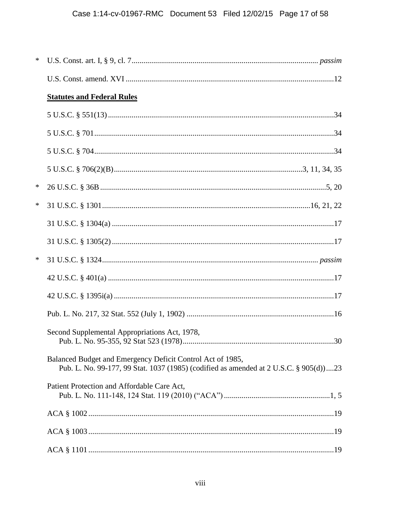| ∗      |                                                                                                                                                     |
|--------|-----------------------------------------------------------------------------------------------------------------------------------------------------|
|        |                                                                                                                                                     |
|        | <b>Statutes and Federal Rules</b>                                                                                                                   |
|        |                                                                                                                                                     |
|        |                                                                                                                                                     |
|        |                                                                                                                                                     |
|        |                                                                                                                                                     |
| $\ast$ |                                                                                                                                                     |
| ∗      |                                                                                                                                                     |
|        |                                                                                                                                                     |
|        |                                                                                                                                                     |
| ∗      |                                                                                                                                                     |
|        |                                                                                                                                                     |
|        |                                                                                                                                                     |
|        |                                                                                                                                                     |
|        | Second Supplemental Appropriations Act, 1978,                                                                                                       |
|        | Balanced Budget and Emergency Deficit Control Act of 1985,<br>Pub. L. No. 99-177, 99 Stat. 1037 (1985) (codified as amended at 2 U.S.C. § 905(d))23 |
|        | Patient Protection and Affordable Care Act,                                                                                                         |
|        |                                                                                                                                                     |
|        |                                                                                                                                                     |
|        |                                                                                                                                                     |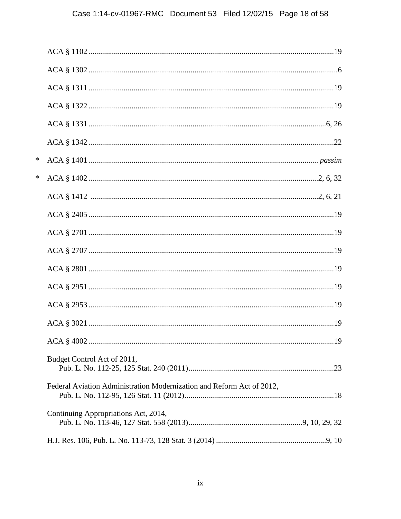| ∗ |                                                                       |  |
|---|-----------------------------------------------------------------------|--|
| * |                                                                       |  |
|   |                                                                       |  |
|   |                                                                       |  |
|   |                                                                       |  |
|   |                                                                       |  |
|   |                                                                       |  |
|   |                                                                       |  |
|   |                                                                       |  |
|   |                                                                       |  |
|   |                                                                       |  |
|   | Budget Control Act of 2011,                                           |  |
|   | Federal Aviation Administration Modernization and Reform Act of 2012, |  |
|   | Continuing Appropriations Act, 2014,                                  |  |
|   |                                                                       |  |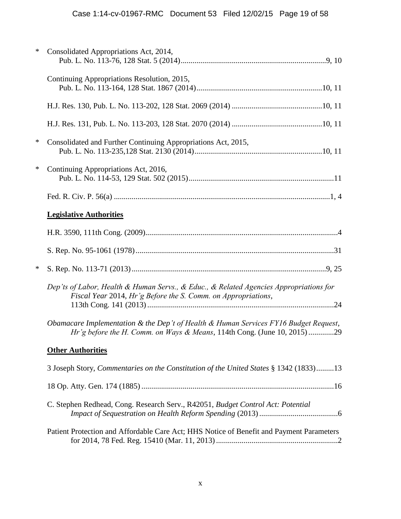| ∗      | Consolidated Appropriations Act, 2014,                                                                                                                          |
|--------|-----------------------------------------------------------------------------------------------------------------------------------------------------------------|
|        | Continuing Appropriations Resolution, 2015,                                                                                                                     |
|        |                                                                                                                                                                 |
|        |                                                                                                                                                                 |
| $\ast$ | Consolidated and Further Continuing Appropriations Act, 2015,                                                                                                   |
| ∗      | Continuing Appropriations Act, 2016,                                                                                                                            |
|        |                                                                                                                                                                 |
|        | <b>Legislative Authorities</b>                                                                                                                                  |
|        |                                                                                                                                                                 |
|        |                                                                                                                                                                 |
| ∗      |                                                                                                                                                                 |
|        | Dep'ts of Labor, Health & Human Servs., & Educ., & Related Agencies Appropriations for<br>Fiscal Year 2014, Hr'g Before the S. Comm. on Appropriations,         |
|        | Obamacare Implementation & the Dep't of Health & Human Services FY16 Budget Request,<br>Hr'g before the H. Comm. on Ways & Means, 114th Cong. (June 10, 2015)29 |
|        | <b>Other Authorities</b>                                                                                                                                        |
|        | 3 Joseph Story, Commentaries on the Constitution of the United States § 1342 (1833)13                                                                           |
|        |                                                                                                                                                                 |
|        | C. Stephen Redhead, Cong. Research Serv., R42051, Budget Control Act: Potential                                                                                 |
|        | Patient Protection and Affordable Care Act; HHS Notice of Benefit and Payment Parameters                                                                        |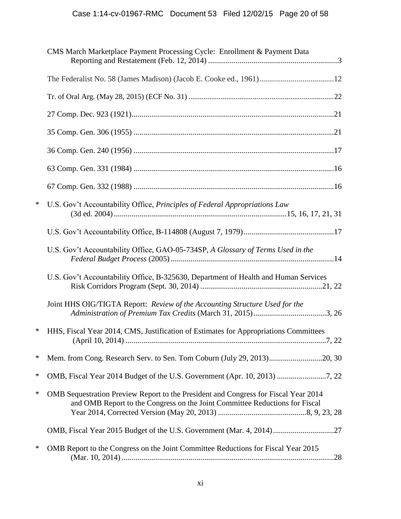|   | CMS March Marketplace Payment Processing Cycle: Enrollment & Payment Data                                                                                          |
|---|--------------------------------------------------------------------------------------------------------------------------------------------------------------------|
|   |                                                                                                                                                                    |
|   |                                                                                                                                                                    |
|   |                                                                                                                                                                    |
|   |                                                                                                                                                                    |
|   |                                                                                                                                                                    |
|   |                                                                                                                                                                    |
|   |                                                                                                                                                                    |
| ∗ | U.S. Gov't Accountability Office, Principles of Federal Appropriations Law                                                                                         |
|   |                                                                                                                                                                    |
|   | U.S. Gov't Accountability Office, GAO-05-734SP, A Glossary of Terms Used in the                                                                                    |
|   | U.S. Gov't Accountability Office, B-325630, Department of Health and Human Services                                                                                |
|   | Joint HHS OIG/TIGTA Report: Review of the Accounting Structure Used for the                                                                                        |
| ∗ | HHS, Fiscal Year 2014, CMS, Justification of Estimates for Appropriations Committees                                                                               |
| ∗ | Mem. from Cong. Research Serv. to Sen. Tom Coburn (July 29, 2013)20, 30                                                                                            |
| ∗ |                                                                                                                                                                    |
| ∗ | OMB Sequestration Preview Report to the President and Congress for Fiscal Year 2014<br>and OMB Report to the Congress on the Joint Committee Reductions for Fiscal |
|   |                                                                                                                                                                    |
| ∗ | OMB Report to the Congress on the Joint Committee Reductions for Fiscal Year 2015                                                                                  |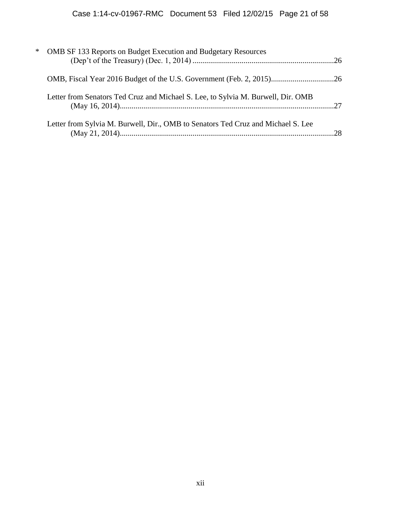| $\ast$ | OMB SF 133 Reports on Budget Execution and Budgetary Resources                   |  |
|--------|----------------------------------------------------------------------------------|--|
|        |                                                                                  |  |
|        | Letter from Senators Ted Cruz and Michael S. Lee, to Sylvia M. Burwell, Dir. OMB |  |
|        | Letter from Sylvia M. Burwell, Dir., OMB to Senators Ted Cruz and Michael S. Lee |  |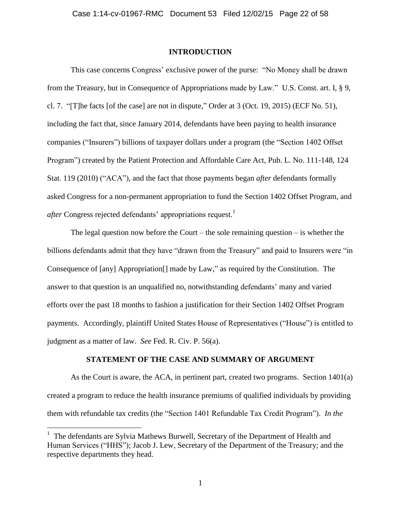#### **INTRODUCTION**

This case concerns Congress' exclusive power of the purse: "No Money shall be drawn from the Treasury, but in Consequence of Appropriations made by Law." U.S. Const. art. I, § 9, cl. 7. "[T]he facts [of the case] are not in dispute," Order at 3 (Oct. 19, 2015) (ECF No. 51), including the fact that, since January 2014, defendants have been paying to health insurance companies ("Insurers") billions of taxpayer dollars under a program (the "Section 1402 Offset Program") created by the Patient Protection and Affordable Care Act, Pub. L. No. 111-148, 124 Stat. 119 (2010) ("ACA"), and the fact that those payments began *after* defendants formally asked Congress for a non-permanent appropriation to fund the Section 1402 Offset Program, and *after* Congress rejected defendants' appropriations request. 1

The legal question now before the Court – the sole remaining question – is whether the billions defendants admit that they have "drawn from the Treasury" and paid to Insurers were "in Consequence of [any] Appropriation[] made by Law," as required by the Constitution. The answer to that question is an unqualified no, notwithstanding defendants' many and varied efforts over the past 18 months to fashion a justification for their Section 1402 Offset Program payments. Accordingly, plaintiff United States House of Representatives ("House") is entitled to judgment as a matter of law. *See* Fed. R. Civ. P. 56(a).

### **STATEMENT OF THE CASE AND SUMMARY OF ARGUMENT**

As the Court is aware, the ACA, in pertinent part, created two programs. Section 1401(a) created a program to reduce the health insurance premiums of qualified individuals by providing them with refundable tax credits (the "Section 1401 Refundable Tax Credit Program"). *In the* 

<sup>&</sup>lt;sup>1</sup> The defendants are Sylvia Mathews Burwell, Secretary of the Department of Health and Human Services ("HHS"); Jacob J. Lew, Secretary of the Department of the Treasury; and the respective departments they head.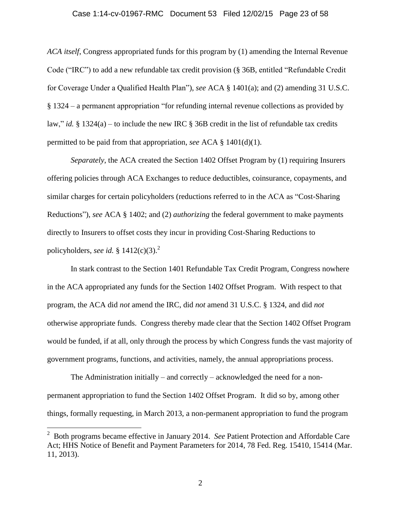#### Case 1:14-cv-01967-RMC Document 53 Filed 12/02/15 Page 23 of 58

*ACA itself*, Congress appropriated funds for this program by (1) amending the Internal Revenue Code ("IRC") to add a new refundable tax credit provision (§ 36B, entitled "Refundable Credit for Coverage Under a Qualified Health Plan"), *see* ACA § 1401(a); and (2) amending 31 U.S.C. § 1324 – a permanent appropriation "for refunding internal revenue collections as provided by law," *id.* § 1324(a) – to include the new IRC § 36B credit in the list of refundable tax credits permitted to be paid from that appropriation, *see* ACA § 1401(d)(1).

*Separately*, the ACA created the Section 1402 Offset Program by (1) requiring Insurers offering policies through ACA Exchanges to reduce deductibles, coinsurance, copayments, and similar charges for certain policyholders (reductions referred to in the ACA as "Cost-Sharing Reductions"), *see* ACA § 1402; and (2) *authorizing* the federal government to make payments directly to Insurers to offset costs they incur in providing Cost-Sharing Reductions to policyholders, *see id.* §  $1412(c)(3)$ .<sup>2</sup>

In stark contrast to the Section 1401 Refundable Tax Credit Program, Congress nowhere in the ACA appropriated any funds for the Section 1402 Offset Program. With respect to that program, the ACA did *not* amend the IRC, did *not* amend 31 U.S.C. § 1324, and did *not* otherwise appropriate funds. Congress thereby made clear that the Section 1402 Offset Program would be funded, if at all, only through the process by which Congress funds the vast majority of government programs, functions, and activities, namely, the annual appropriations process.

The Administration initially – and correctly – acknowledged the need for a nonpermanent appropriation to fund the Section 1402 Offset Program. It did so by, among other things, formally requesting, in March 2013, a non-permanent appropriation to fund the program

<sup>2</sup> Both programs became effective in January 2014. *See* Patient Protection and Affordable Care Act; HHS Notice of Benefit and Payment Parameters for 2014, 78 Fed. Reg. 15410, 15414 (Mar. 11, 2013).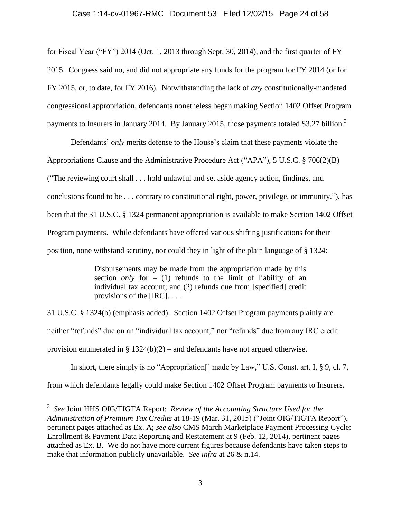#### Case 1:14-cv-01967-RMC Document 53 Filed 12/02/15 Page 24 of 58

for Fiscal Year ("FY") 2014 (Oct. 1, 2013 through Sept. 30, 2014), and the first quarter of FY 2015. Congress said no, and did not appropriate any funds for the program for FY 2014 (or for FY 2015, or, to date, for FY 2016). Notwithstanding the lack of *any* constitutionally-mandated congressional appropriation, defendants nonetheless began making Section 1402 Offset Program payments to Insurers in January 2014. By January 2015, those payments totaled \$3.27 billion.<sup>3</sup>

Defendants' *only* merits defense to the House's claim that these payments violate the Appropriations Clause and the Administrative Procedure Act ("APA"), 5 U.S.C. § 706(2)(B) ("The reviewing court shall . . . hold unlawful and set aside agency action, findings, and conclusions found to be . . . contrary to constitutional right, power, privilege, or immunity."), has been that the 31 U.S.C. § 1324 permanent appropriation is available to make Section 1402 Offset Program payments. While defendants have offered various shifting justifications for their position, none withstand scrutiny, nor could they in light of the plain language of § 1324:

> Disbursements may be made from the appropriation made by this section *only* for  $-$  (1) refunds to the limit of liability of an individual tax account; and (2) refunds due from [specified] credit provisions of the [IRC]. . . .

31 U.S.C. § 1324(b) (emphasis added). Section 1402 Offset Program payments plainly are neither "refunds" due on an "individual tax account," nor "refunds" due from any IRC credit provision enumerated in  $\S 1324(b)(2)$  – and defendants have not argued otherwise.

In short, there simply is no "Appropriation<sup>[]</sup> made by Law," U.S. Const. art. I, § 9, cl. 7, from which defendants legally could make Section 1402 Offset Program payments to Insurers.

<sup>3</sup>  *See* Joint HHS OIG/TIGTA Report: *Review of the Accounting Structure Used for the Administration of Premium Tax Credits* at 18-19 (Mar. 31, 2015) ("Joint OIG/TIGTA Report"), pertinent pages attached as Ex. A; *see also* CMS March Marketplace Payment Processing Cycle: Enrollment & Payment Data Reporting and Restatement at 9 (Feb. 12, 2014), pertinent pages attached as Ex. B. We do not have more current figures because defendants have taken steps to make that information publicly unavailable. *See infra* at 26 & n.14.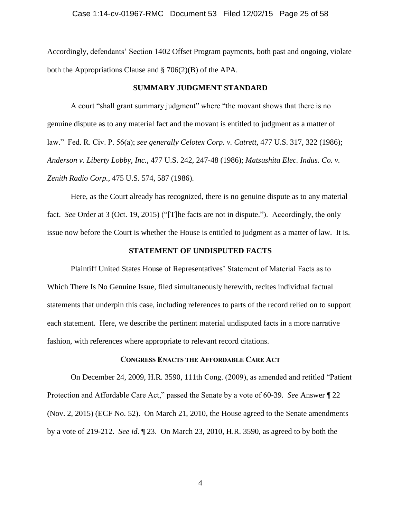Accordingly, defendants' Section 1402 Offset Program payments, both past and ongoing, violate both the Appropriations Clause and § 706(2)(B) of the APA.

#### **SUMMARY JUDGMENT STANDARD**

A court "shall grant summary judgment" where "the movant shows that there is no genuine dispute as to any material fact and the movant is entitled to judgment as a matter of law." Fed. R. Civ. P. 56(a); *see generally Celotex Corp. v. Catrett*, 477 U.S. 317, 322 (1986); *Anderson v. Liberty Lobby, Inc.*, 477 U.S. 242, 247-48 (1986); *Matsushita Elec. Indus. Co. v. Zenith Radio Corp.*, 475 U.S. 574, 587 (1986).

Here, as the Court already has recognized, there is no genuine dispute as to any material fact. *See* Order at 3 (Oct. 19, 2015) ("[T]he facts are not in dispute."). Accordingly, the only issue now before the Court is whether the House is entitled to judgment as a matter of law. It is.

#### **STATEMENT OF UNDISPUTED FACTS**

Plaintiff United States House of Representatives' Statement of Material Facts as to Which There Is No Genuine Issue, filed simultaneously herewith, recites individual factual statements that underpin this case, including references to parts of the record relied on to support each statement. Here, we describe the pertinent material undisputed facts in a more narrative fashion, with references where appropriate to relevant record citations.

### **CONGRESS ENACTS THE AFFORDABLE CARE ACT**

On December 24, 2009, H.R. 3590, 111th Cong. (2009), as amended and retitled "Patient Protection and Affordable Care Act," passed the Senate by a vote of 60-39. *See* Answer ¶ 22 (Nov. 2, 2015) (ECF No. 52). On March 21, 2010, the House agreed to the Senate amendments by a vote of 219-212. *See id.* ¶ 23. On March 23, 2010, H.R. 3590, as agreed to by both the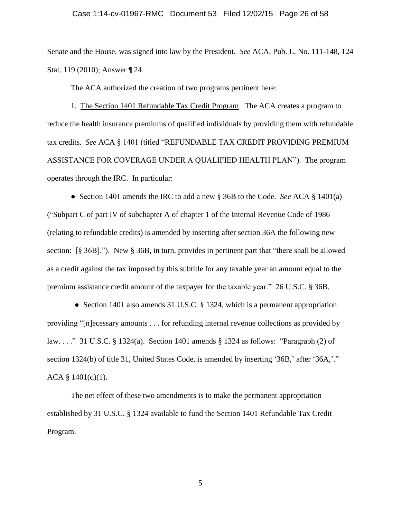#### Case 1:14-cv-01967-RMC Document 53 Filed 12/02/15 Page 26 of 58

Senate and the House, was signed into law by the President. *See* ACA, Pub. L. No. 111-148, 124 Stat. 119 (2010); Answer ¶ 24.

The ACA authorized the creation of two programs pertinent here:

1. The Section 1401 Refundable Tax Credit Program. The ACA creates a program to reduce the health insurance premiums of qualified individuals by providing them with refundable tax credits. *See* ACA § 1401 (titled "REFUNDABLE TAX CREDIT PROVIDING PREMIUM ASSISTANCE FOR COVERAGE UNDER A QUALIFIED HEALTH PLAN"). The program operates through the IRC. In particular:

● Section 1401 amends the IRC to add a new § 36B to the Code. *See* ACA § 1401(a) ("Subpart C of part IV of subchapter A of chapter 1 of the Internal Revenue Code of 1986 (relating to refundable credits) is amended by inserting after section 36A the following new section: [§ 36B]."). New § 36B, in turn, provides in pertinent part that "there shall be allowed as a credit against the tax imposed by this subtitle for any taxable year an amount equal to the premium assistance credit amount of the taxpayer for the taxable year." 26 U.S.C. § 36B.

• Section 1401 also amends 31 U.S.C. § 1324, which is a permanent appropriation providing "[n]ecessary amounts . . . for refunding internal revenue collections as provided by law. . . ." 31 U.S.C. § 1324(a). Section 1401 amends § 1324 as follows: "Paragraph (2) of section 1324(b) of title 31, United States Code, is amended by inserting '36B,' after '36A,'."  $ACA \$   $1401(d)(1)$ .

The net effect of these two amendments is to make the permanent appropriation established by 31 U.S.C. § 1324 available to fund the Section 1401 Refundable Tax Credit Program.

5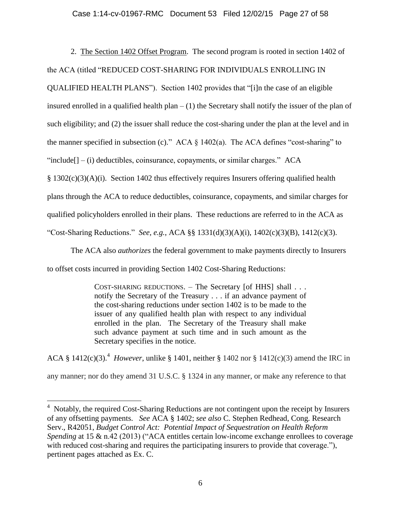2. The Section 1402 Offset Program. The second program is rooted in section 1402 of

# the ACA (titled "REDUCED COST-SHARING FOR INDIVIDUALS ENROLLING IN

QUALIFIED HEALTH PLANS"). Section 1402 provides that "[i]n the case of an eligible

insured enrolled in a qualified health plan  $- (1)$  the Secretary shall notify the issuer of the plan of

such eligibility; and (2) the issuer shall reduce the cost-sharing under the plan at the level and in

the manner specified in subsection (c)." ACA  $\S$  1402(a). The ACA defines "cost-sharing" to

"include $[-(i)]$  deductibles, coinsurance, copayments, or similar charges." ACA

 $§$  1302(c)(3)(A)(i). Section 1402 thus effectively requires Insurers offering qualified health

plans through the ACA to reduce deductibles, coinsurance, copayments, and similar charges for

qualified policyholders enrolled in their plans. These reductions are referred to in the ACA as

"Cost-Sharing Reductions." *See, e.g.*, ACA §§ 1331(d)(3)(A)(i), 1402(c)(3)(B), 1412(c)(3).

The ACA also *authorizes* the federal government to make payments directly to Insurers

to offset costs incurred in providing Section 1402 Cost-Sharing Reductions:

 $\overline{a}$ 

COST-SHARING REDUCTIONS. – The Secretary [of HHS] shall . . . notify the Secretary of the Treasury . . . if an advance payment of the cost-sharing reductions under section 1402 is to be made to the issuer of any qualified health plan with respect to any individual enrolled in the plan. The Secretary of the Treasury shall make such advance payment at such time and in such amount as the Secretary specifies in the notice.

ACA §  $1412(c)(3)$ .<sup>4</sup> *However*, unlike § 1401, neither § 1402 nor § 1412(c)(3) amend the IRC in any manner; nor do they amend 31 U.S.C. § 1324 in any manner, or make any reference to that

<sup>&</sup>lt;sup>4</sup> Notably, the required Cost-Sharing Reductions are not contingent upon the receipt by Insurers of any offsetting payments. *See* ACA § 1402; *see also* C. Stephen Redhead, Cong. Research Serv., R42051, *Budget Control Act: Potential Impact of Sequestration on Health Reform Spending* at 15 & n.42 (2013) ("ACA entitles certain low-income exchange enrollees to coverage with reduced cost-sharing and requires the participating insurers to provide that coverage."), pertinent pages attached as Ex. C.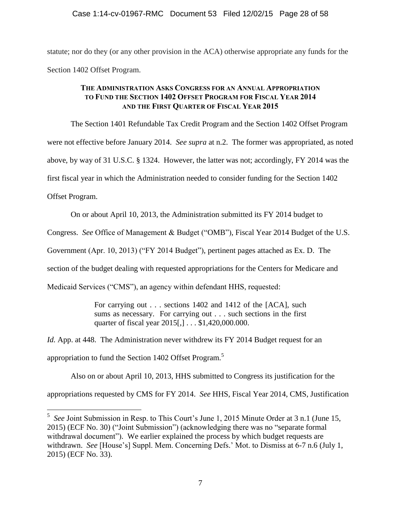statute; nor do they (or any other provision in the ACA) otherwise appropriate any funds for the Section 1402 Offset Program.

## **THE ADMINISTRATION ASKS CONGRESS FOR AN ANNUAL APPROPRIATION TO FUND THE SECTION 1402 OFFSET PROGRAM FOR FISCAL YEAR 2014 AND THE FIRST QUARTER OF FISCAL YEAR 2015**

The Section 1401 Refundable Tax Credit Program and the Section 1402 Offset Program were not effective before January 2014. *See supra* at n.2. The former was appropriated, as noted above, by way of 31 U.S.C. § 1324. However, the latter was not; accordingly, FY 2014 was the first fiscal year in which the Administration needed to consider funding for the Section 1402 Offset Program.

On or about April 10, 2013, the Administration submitted its FY 2014 budget to

Congress. *See* Office of Management & Budget ("OMB"), Fiscal Year 2014 Budget of the U.S.

Government (Apr. 10, 2013) ("FY 2014 Budget"), pertinent pages attached as Ex. D. The

section of the budget dealing with requested appropriations for the Centers for Medicare and

Medicaid Services ("CMS"), an agency within defendant HHS, requested:

For carrying out . . . sections 1402 and 1412 of the [ACA], such sums as necessary. For carrying out . . . such sections in the first quarter of fiscal year 2015[,] . . . \$1,420,000.000.

*Id.* App. at 448. The Administration never withdrew its FY 2014 Budget request for an

appropriation to fund the Section 1402 Offset Program.<sup>5</sup>

 $\overline{a}$ 

Also on or about April 10, 2013, HHS submitted to Congress its justification for the appropriations requested by CMS for FY 2014. *See* HHS, Fiscal Year 2014, CMS, Justification

<sup>&</sup>lt;sup>5</sup> See Joint Submission in Resp. to This Court's June 1, 2015 Minute Order at 3 n.1 (June 15, 2015) (ECF No. 30) ("Joint Submission") (acknowledging there was no "separate formal withdrawal document"). We earlier explained the process by which budget requests are withdrawn. *See* [House's] Suppl. Mem. Concerning Defs.' Mot. to Dismiss at 6-7 n.6 (July 1, 2015) (ECF No. 33).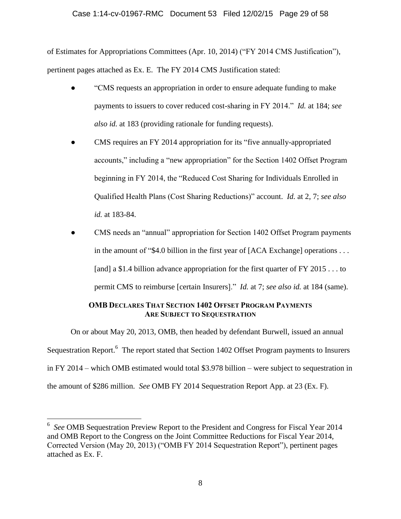### Case 1:14-cv-01967-RMC Document 53 Filed 12/02/15 Page 29 of 58

of Estimates for Appropriations Committees (Apr. 10, 2014) ("FY 2014 CMS Justification"), pertinent pages attached as Ex. E. The FY 2014 CMS Justification stated:

- "CMS requests an appropriation in order to ensure adequate funding to make payments to issuers to cover reduced cost-sharing in FY 2014." *Id.* at 184; *see also id.* at 183 (providing rationale for funding requests).
- CMS requires an FY 2014 appropriation for its "five annually-appropriated accounts," including a "new appropriation" for the Section 1402 Offset Program beginning in FY 2014, the "Reduced Cost Sharing for Individuals Enrolled in Qualified Health Plans (Cost Sharing Reductions)" account. *Id.* at 2, 7; *see also id.* at 183-84.
- CMS needs an "annual" appropriation for Section 1402 Offset Program payments in the amount of "\$4.0 billion in the first year of [ACA Exchange] operations . . . [and] a \$1.4 billion advance appropriation for the first quarter of FY 2015 . . . to permit CMS to reimburse [certain Insurers]." *Id.* at 7; *see also id.* at 184 (same).

### **OMB DECLARES THAT SECTION 1402 OFFSET PROGRAM PAYMENTS ARE SUBJECT TO SEQUESTRATION**

On or about May 20, 2013, OMB, then headed by defendant Burwell, issued an annual Sequestration Report.<sup>6</sup> The report stated that Section 1402 Offset Program payments to Insurers in FY 2014 – which OMB estimated would total \$3.978 billion – were subject to sequestration in the amount of \$286 million. *See* OMB FY 2014 Sequestration Report App. at 23 (Ex. F).

<sup>6</sup>  *See* OMB Sequestration Preview Report to the President and Congress for Fiscal Year 2014 and OMB Report to the Congress on the Joint Committee Reductions for Fiscal Year 2014, Corrected Version (May 20, 2013) ("OMB FY 2014 Sequestration Report"), pertinent pages attached as Ex. F.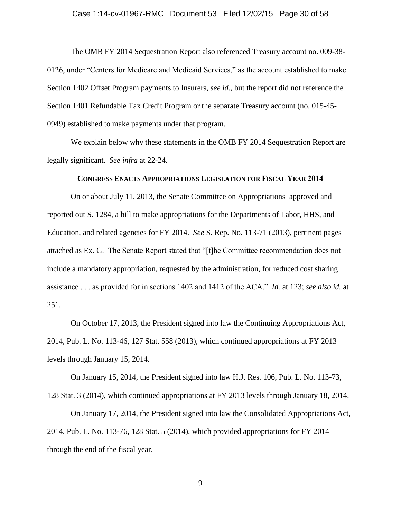#### Case 1:14-cv-01967-RMC Document 53 Filed 12/02/15 Page 30 of 58

The OMB FY 2014 Sequestration Report also referenced Treasury account no. 009-38- 0126, under "Centers for Medicare and Medicaid Services," as the account established to make Section 1402 Offset Program payments to Insurers, *see id.*, but the report did not reference the Section 1401 Refundable Tax Credit Program or the separate Treasury account (no. 015-45- 0949) established to make payments under that program.

We explain below why these statements in the OMB FY 2014 Sequestration Report are legally significant. *See infra* at 22-24.

#### **CONGRESS ENACTS APPROPRIATIONS LEGISLATION FOR FISCAL YEAR 2014**

On or about July 11, 2013, the Senate Committee on Appropriations approved and reported out S. 1284, a bill to make appropriations for the Departments of Labor, HHS, and Education, and related agencies for FY 2014. *See* S. Rep. No. 113-71 (2013), pertinent pages attached as Ex. G. The Senate Report stated that "[t]he Committee recommendation does not include a mandatory appropriation, requested by the administration, for reduced cost sharing assistance . . . as provided for in sections 1402 and 1412 of the ACA." *Id.* at 123; *see also id.* at 251.

On October 17, 2013, the President signed into law the Continuing Appropriations Act, 2014, Pub. L. No. 113-46, 127 Stat. 558 (2013), which continued appropriations at FY 2013 levels through January 15, 2014.

On January 15, 2014, the President signed into law H.J. Res. 106, Pub. L. No. 113-73, 128 Stat. 3 (2014), which continued appropriations at FY 2013 levels through January 18, 2014.

On January 17, 2014, the President signed into law the Consolidated Appropriations Act, 2014, Pub. L. No. 113-76, 128 Stat. 5 (2014), which provided appropriations for FY 2014 through the end of the fiscal year.

9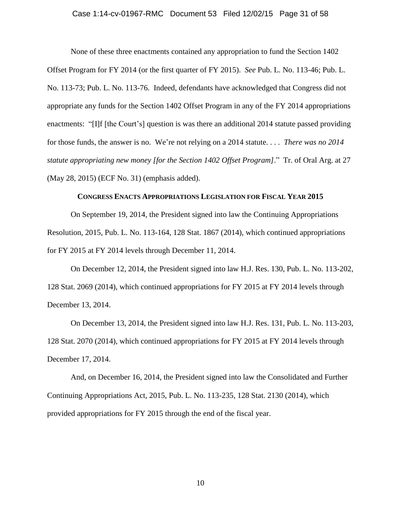#### Case 1:14-cv-01967-RMC Document 53 Filed 12/02/15 Page 31 of 58

None of these three enactments contained any appropriation to fund the Section 1402 Offset Program for FY 2014 (or the first quarter of FY 2015). *See* Pub. L. No. 113-46; Pub. L. No. 113-73; Pub. L. No. 113-76. Indeed, defendants have acknowledged that Congress did not appropriate any funds for the Section 1402 Offset Program in any of the FY 2014 appropriations enactments: "[I]f [the Court's] question is was there an additional 2014 statute passed providing for those funds, the answer is no. We're not relying on a 2014 statute. . . . *There was no 2014 statute appropriating new money [for the Section 1402 Offset Program]*." Tr. of Oral Arg. at 27 (May 28, 2015) (ECF No. 31) (emphasis added).

#### **CONGRESS ENACTS APPROPRIATIONS LEGISLATION FOR FISCAL YEAR 2015**

On September 19, 2014, the President signed into law the Continuing Appropriations Resolution, 2015, Pub. L. No. 113-164, 128 Stat. 1867 (2014), which continued appropriations for FY 2015 at FY 2014 levels through December 11, 2014.

On December 12, 2014, the President signed into law H.J. Res. 130, Pub. L. No. 113-202, 128 Stat. 2069 (2014), which continued appropriations for FY 2015 at FY 2014 levels through December 13, 2014.

On December 13, 2014, the President signed into law H.J. Res. 131, Pub. L. No. 113-203, 128 Stat. 2070 (2014), which continued appropriations for FY 2015 at FY 2014 levels through December 17, 2014.

And, on December 16, 2014, the President signed into law the Consolidated and Further Continuing Appropriations Act, 2015, Pub. L. No. 113-235, 128 Stat. 2130 (2014), which provided appropriations for FY 2015 through the end of the fiscal year.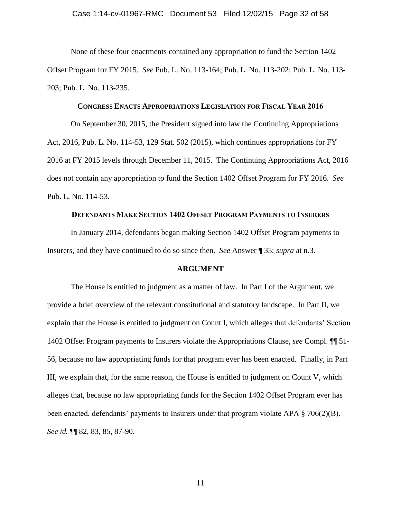None of these four enactments contained any appropriation to fund the Section 1402 Offset Program for FY 2015. *See* Pub. L. No. 113-164; Pub. L. No. 113-202; Pub. L. No. 113- 203; Pub. L. No. 113-235.

#### **CONGRESS ENACTS APPROPRIATIONS LEGISLATION FOR FISCAL YEAR 2016**

On September 30, 2015, the President signed into law the Continuing Appropriations Act, 2016, Pub. L. No. 114-53, 129 Stat. 502 (2015), which continues appropriations for FY 2016 at FY 2015 levels through December 11, 2015. The Continuing Appropriations Act, 2016 does not contain any appropriation to fund the Section 1402 Offset Program for FY 2016. *See* Pub. L. No. 114-53.

#### **DEFENDANTS MAKE SECTION 1402 OFFSET PROGRAM PAYMENTS TO INSURERS**

In January 2014, defendants began making Section 1402 Offset Program payments to Insurers, and they have continued to do so since then. *See* Answer ¶ 35; *supra* at n.3.

#### **ARGUMENT**

The House is entitled to judgment as a matter of law. In Part I of the Argument, we provide a brief overview of the relevant constitutional and statutory landscape. In Part II, we explain that the House is entitled to judgment on Count I, which alleges that defendants' Section 1402 Offset Program payments to Insurers violate the Appropriations Clause, *see* Compl. ¶¶ 51- 56, because no law appropriating funds for that program ever has been enacted. Finally, in Part III, we explain that, for the same reason, the House is entitled to judgment on Count V, which alleges that, because no law appropriating funds for the Section 1402 Offset Program ever has been enacted, defendants' payments to Insurers under that program violate APA § 706(2)(B). *See id.* ¶¶ 82, 83, 85, 87-90.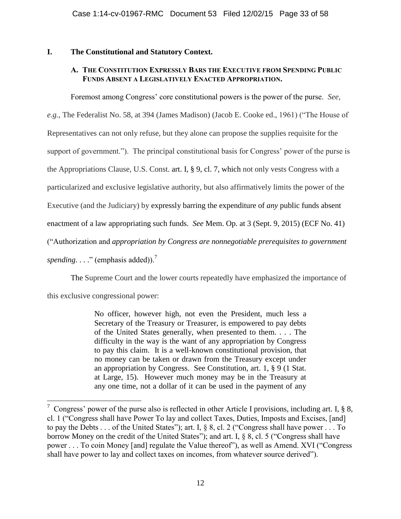## **I. The Constitutional and Statutory Context.**

## **A. THE CONSTITUTION EXPRESSLY BARS THE EXECUTIVE FROM SPENDING PUBLIC FUNDS ABSENT A LEGISLATIVELY ENACTED APPROPRIATION.**

Foremost among Congress' core constitutional powers is the power of the purse. *See,* 

*e.g.*, The Federalist No. 58, at 394 (James Madison) (Jacob E. Cooke ed., 1961) ("The House of Representatives can not only refuse, but they alone can propose the supplies requisite for the support of government."). The principal constitutional basis for Congress' power of the purse is the Appropriations Clause, U.S. Const. art. I, § 9, cl. 7, which not only vests Congress with a particularized and exclusive legislative authority, but also affirmatively limits the power of the Executive (and the Judiciary) by expressly barring the expenditure of *any* public funds absent enactment of a law appropriating such funds. *See* Mem. Op. at 3 (Sept. 9, 2015) (ECF No. 41) ("Authorization and *appropriation by Congress are nonnegotiable prerequisites to government* 

*spending....*" (emphasis added)).<sup>7</sup>

The Supreme Court and the lower courts repeatedly have emphasized the importance of

this exclusive congressional power:

 $\overline{a}$ 

No officer, however high, not even the President, much less a Secretary of the Treasury or Treasurer, is empowered to pay debts of the United States generally, when presented to them. . . . The difficulty in the way is the want of any appropriation by Congress to pay this claim. It is a well-known constitutional provision, that no money can be taken or drawn from the Treasury except under an appropriation by Congress. See Constitution, art. 1, § 9 (1 Stat. at Large, 15). However much money may be in the Treasury at any one time, not a dollar of it can be used in the payment of any

<sup>&</sup>lt;sup>7</sup> Congress' power of the purse also is reflected in other Article I provisions, including art. I,  $\S$  8, cl. 1 ("Congress shall have Power To lay and collect Taxes, Duties, Imposts and Excises, [and] to pay the Debts . . . of the United States"); art. I, § 8, cl. 2 ("Congress shall have power . . . To borrow Money on the credit of the United States"); and art. I, § 8, cl. 5 ("Congress shall have power . . . To coin Money [and] regulate the Value thereof"), as well as Amend. XVI ("Congress shall have power to lay and collect taxes on incomes, from whatever source derived").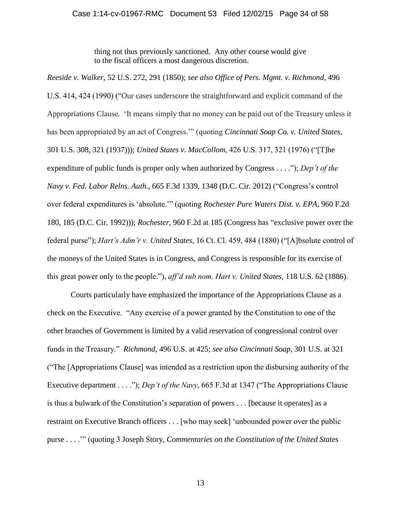thing not thus previously sanctioned. Any other course would give to the fiscal officers a most dangerous discretion.

*Reeside v. Walker*, 52 U.S. 272, 291 (1850); *see also Office of Pers. Mgmt. v. Richmond*, 496 U.S. 414, 424 (1990) ("Our cases underscore the straightforward and explicit command of the Appropriations Clause. 'It means simply that no money can be paid out of the Treasury unless it has been appropriated by an act of Congress.'" (quoting *Cincinnati Soap Co. v. United States*, 301 U.S. 308, 321 (1937))); *United States v. MacCollom*, 426 U.S. 317, 321 (1976) ("[T]he expenditure of public funds is proper only when authorized by Congress . . . ."); *Dep't of the Navy v. Fed. Labor Relns. Auth.*, 665 F.3d 1339, 1348 (D.C. Cir. 2012) ("Congress's control over federal expenditures is 'absolute.'" (quoting *Rochester Pure Waters Dist. v. EPA*, 960 F.2d 180, 185 (D.C. Cir. 1992))); *Rochester*, 960 F.2d at 185 (Congress has "exclusive power over the federal purse"); *Hart's Adm'r v. United States*, 16 Ct. Cl. 459, 484 (1880) ("[A]bsolute control of the moneys of the United States is in Congress, and Congress is responsible for its exercise of this great power only to the people."), *aff'd sub nom. Hart v. United States*, 118 U.S. 62 (1886).

Courts particularly have emphasized the importance of the Appropriations Clause as a check on the Executive. "Any exercise of a power granted by the Constitution to one of the other branches of Government is limited by a valid reservation of congressional control over funds in the Treasury." *Richmond*, 496 U.S. at 425; *see also Cincinnati Soap*, 301 U.S. at 321 ("The [Appropriations Clause] was intended as a restriction upon the disbursing authority of the Executive department . . . ."); *Dep't of the Navy*, 665 F.3d at 1347 ("The Appropriations Clause is thus a bulwark of the Constitution's separation of powers . . . [because it operates] as a restraint on Executive Branch officers . . . [who may seek] 'unbounded power over the public purse . . . .'" (quoting 3 Joseph Story, *Commentaries on the Constitution of the United States*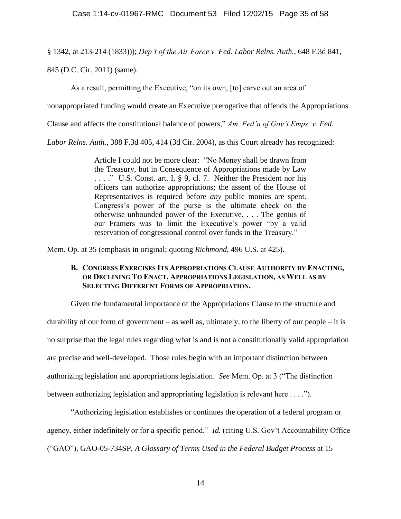§ 1342, at 213-214 (1833))); *Dep't of the Air Force v. Fed. Labor Relns. Auth.*, 648 F.3d 841,

845 (D.C. Cir. 2011) (same).

As a result, permitting the Executive, "on its own, [to] carve out an area of

nonappropriated funding would create an Executive prerogative that offends the Appropriations

Clause and affects the constitutional balance of powers," *Am. Fed'n of Gov't Emps. v. Fed.* 

*Labor Relns. Auth.*, 388 F.3d 405, 414 (3d Cir. 2004), as this Court already has recognized:

Article I could not be more clear: "No Money shall be drawn from the Treasury, but in Consequence of Appropriations made by Law . . . ." U.S. Const. art. I, § 9, cl. 7. Neither the President nor his officers can authorize appropriations; the assent of the House of Representatives is required before *any* public monies are spent. Congress's power of the purse is the ultimate check on the otherwise unbounded power of the Executive. . . . The genius of our Framers was to limit the Executive's power "by a valid reservation of congressional control over funds in the Treasury."

Mem. Op. at 35 (emphasis in original; quoting *Richmond*, 496 U.S. at 425).

### **B. CONGRESS EXERCISES ITS APPROPRIATIONS CLAUSE AUTHORITY BY ENACTING, OR DECLINING TO ENACT, APPROPRIATIONS LEGISLATION, AS WELL AS BY SELECTING DIFFERENT FORMS OF APPROPRIATION.**

Given the fundamental importance of the Appropriations Clause to the structure and durability of our form of government – as well as, ultimately, to the liberty of our people – it is no surprise that the legal rules regarding what is and is not a constitutionally valid appropriation are precise and well-developed. Those rules begin with an important distinction between authorizing legislation and appropriations legislation. *See* Mem. Op. at 3 ("The distinction between authorizing legislation and appropriating legislation is relevant here . . . .").

"Authorizing legislation establishes or continues the operation of a federal program or agency, either indefinitely or for a specific period." *Id.* (citing U.S. Gov't Accountability Office ("GAO"), GAO-05-734SP, *A Glossary of Terms Used in the Federal Budget Process* at 15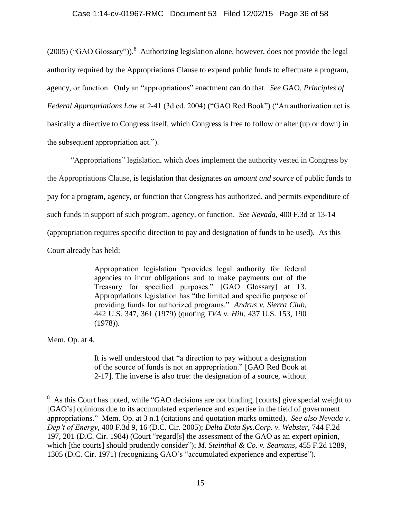$(2005)$  ("GAO Glossary")). Authorizing legislation alone, however, does not provide the legal authority required by the Appropriations Clause to expend public funds to effectuate a program, agency, or function. Only an "appropriations" enactment can do that. *See* GAO, *Principles of Federal Appropriations Law* at 2-41 (3d ed. 2004) ("GAO Red Book") ("An authorization act is basically a directive to Congress itself, which Congress is free to follow or alter (up or down) in the subsequent appropriation act.").

"Appropriations" legislation, which *does* implement the authority vested in Congress by the Appropriations Clause, is legislation that designates *an amount and source* of public funds to pay for a program, agency, or function that Congress has authorized, and permits expenditure of such funds in support of such program, agency, or function. *See Nevada*, 400 F.3d at 13-14 (appropriation requires specific direction to pay and designation of funds to be used). As this Court already has held:

> Appropriation legislation "provides legal authority for federal agencies to incur obligations and to make payments out of the Treasury for specified purposes." [GAO Glossary] at 13. Appropriations legislation has "the limited and specific purpose of providing funds for authorized programs." *Andrus v. Sierra Club*, 442 U.S. 347, 361 (1979) (quoting *TVA v. Hill*, 437 U.S. 153, 190 (1978)).

Mem. Op. at 4.

 $\overline{a}$ 

It is well understood that "a direction to pay without a designation of the source of funds is not an appropriation." [GAO Red Book at 2-17]. The inverse is also true: the designation of a source, without

 $8\,$  As this Court has noted, while "GAO decisions are not binding, [courts] give special weight to [GAO's] opinions due to its accumulated experience and expertise in the field of government appropriations." Mem. Op. at 3 n.1 (citations and quotation marks omitted). *See also Nevada v. Dep't of Energy*, 400 F.3d 9, 16 (D.C. Cir. 2005); *Delta Data Sys.Corp. v. Webster*, 744 F.2d 197, 201 (D.C. Cir. 1984) (Court "regard[s] the assessment of the GAO as an expert opinion, which [the courts] should prudently consider"); *M. Steinthal & Co. v. Seamans*, 455 F.2d 1289, 1305 (D.C. Cir. 1971) (recognizing GAO's "accumulated experience and expertise").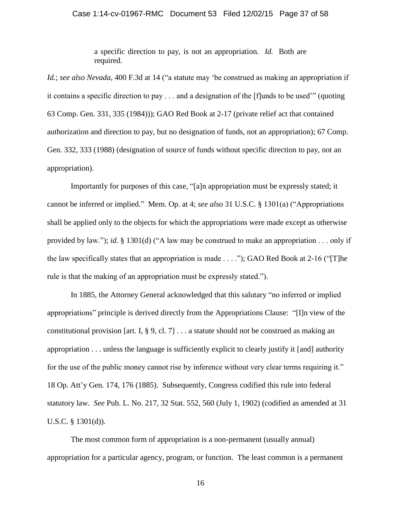#### Case 1:14-cv-01967-RMC Document 53 Filed 12/02/15 Page 37 of 58

a specific direction to pay, is not an appropriation. *Id.* Both are required.

*Id.*; *see also Nevada*, 400 F.3d at 14 ("a statute may 'be construed as making an appropriation if it contains a specific direction to pay . . . and a designation of the [f]unds to be used'" (quoting 63 Comp. Gen. 331, 335 (1984))); GAO Red Book at 2-17 (private relief act that contained authorization and direction to pay, but no designation of funds, not an appropriation); 67 Comp. Gen. 332, 333 (1988) (designation of source of funds without specific direction to pay, not an appropriation).

Importantly for purposes of this case, "[a]n appropriation must be expressly stated; it cannot be inferred or implied." Mem. Op. at 4; *see also* 31 U.S.C. § 1301(a) ("Appropriations shall be applied only to the objects for which the appropriations were made except as otherwise provided by law."); *id.* § 1301(d) ("A law may be construed to make an appropriation . . . only if the law specifically states that an appropriation is made . . . ."); GAO Red Book at 2-16 ("[T]he rule is that the making of an appropriation must be expressly stated.").

In 1885, the Attorney General acknowledged that this salutary "no inferred or implied appropriations" principle is derived directly from the Appropriations Clause: "[I]n view of the constitutional provision [art. I,  $\S 9$ , cl. 7] ... a statute should not be construed as making an appropriation . . . unless the language is sufficiently explicit to clearly justify it [and] authority for the use of the public money cannot rise by inference without very clear terms requiring it." 18 Op. Att'y Gen. 174, 176 (1885). Subsequently, Congress codified this rule into federal statutory law. *See* Pub. L. No. 217, 32 Stat. 552, 560 (July 1, 1902) (codified as amended at 31 U.S.C. § 1301(d)).

The most common form of appropriation is a non-permanent (usually annual) appropriation for a particular agency, program, or function. The least common is a permanent

16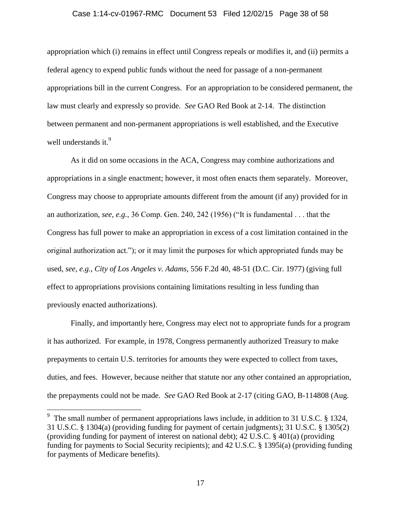#### Case 1:14-cv-01967-RMC Document 53 Filed 12/02/15 Page 38 of 58

appropriation which (i) remains in effect until Congress repeals or modifies it, and (ii) permits a federal agency to expend public funds without the need for passage of a non-permanent appropriations bill in the current Congress. For an appropriation to be considered permanent, the law must clearly and expressly so provide. *See* GAO Red Book at 2-14. The distinction between permanent and non-permanent appropriations is well established, and the Executive well understands it. $9$ 

As it did on some occasions in the ACA, Congress may combine authorizations and appropriations in a single enactment; however, it most often enacts them separately. Moreover, Congress may choose to appropriate amounts different from the amount (if any) provided for in an authorization, *see, e.g.*, 36 Comp. Gen. 240, 242 (1956) ("It is fundamental . . . that the Congress has full power to make an appropriation in excess of a cost limitation contained in the original authorization act."); or it may limit the purposes for which appropriated funds may be used, *see, e.g.*, *City of Los Angeles v. Adams*, 556 F.2d 40, 48-51 (D.C. Cir. 1977) (giving full effect to appropriations provisions containing limitations resulting in less funding than previously enacted authorizations).

Finally, and importantly here, Congress may elect not to appropriate funds for a program it has authorized. For example, in 1978, Congress permanently authorized Treasury to make prepayments to certain U.S. territories for amounts they were expected to collect from taxes, duties, and fees. However, because neither that statute nor any other contained an appropriation, the prepayments could not be made. *See* GAO Red Book at 2-17 (citing GAO, B-114808 (Aug.

<sup>&</sup>lt;sup>9</sup> The small number of permanent appropriations laws include, in addition to 31 U.S.C. § 1324, 31 U.S.C. § 1304(a) (providing funding for payment of certain judgments); 31 U.S.C. § 1305(2) (providing funding for payment of interest on national debt); 42 U.S.C. § 401(a) (providing funding for payments to Social Security recipients); and 42 U.S.C. § 1395i(a) (providing funding for payments of Medicare benefits).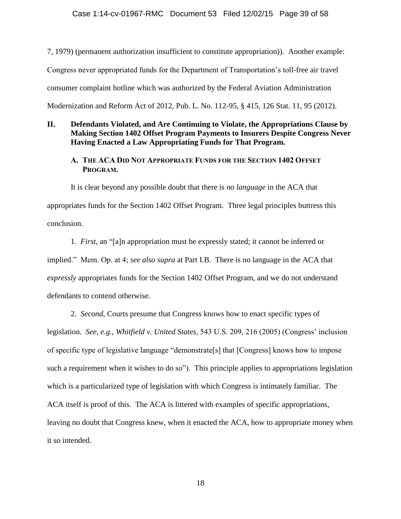7, 1979) (permanent authorization insufficient to constitute appropriation)). Another example: Congress never appropriated funds for the Department of Transportation's toll-free air travel consumer complaint hotline which was authorized by the Federal Aviation Administration Modernization and Reform Act of 2012, Pub. L. No. 112-95, § 415, 126 Stat. 11, 95 (2012).

### **II. Defendants Violated, and Are Continuing to Violate, the Appropriations Clause by Making Section 1402 Offset Program Payments to Insurers Despite Congress Never Having Enacted a Law Appropriating Funds for That Program.**

## **A. THE ACA DID NOT APPROPRIATE FUNDS FOR THE SECTION 1402 OFFSET PROGRAM.**

It is clear beyond any possible doubt that there is *no language* in the ACA that appropriates funds for the Section 1402 Offset Program. Three legal principles buttress this conclusion.

1. *First*, an "[a]n appropriation must be expressly stated; it cannot be inferred or implied." Mem. Op. at 4; *see also supra* at Part I.B. There is no language in the ACA that *expressly* appropriates funds for the Section 1402 Offset Program, and we do not understand defendants to contend otherwise.

2. *Second*, Courts presume that Congress knows how to enact specific types of legislation. *See, e.g.*, *Whitfield v. United States*, 543 U.S. 209, 216 (2005) (Congress' inclusion of specific type of legislative language "demonstrate[s] that [Congress] knows how to impose such a requirement when it wishes to do so"). This principle applies to appropriations legislation which is a particularized type of legislation with which Congress is intimately familiar. The ACA itself is proof of this. The ACA is littered with examples of specific appropriations, leaving no doubt that Congress knew, when it enacted the ACA, how to appropriate money when it so intended.

18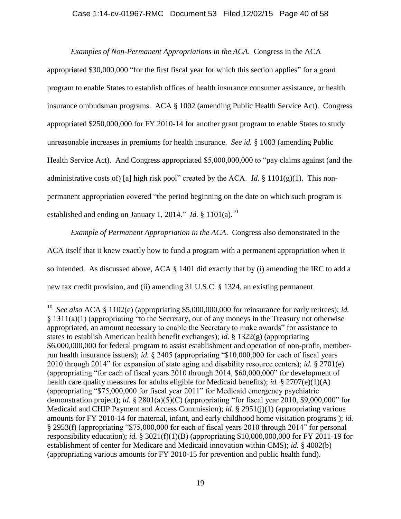### Case 1:14-cv-01967-RMC Document 53 Filed 12/02/15 Page 40 of 58

*Examples of Non-Permanent Appropriations in the ACA*. Congress in the ACA appropriated \$30,000,000 "for the first fiscal year for which this section applies" for a grant program to enable States to establish offices of health insurance consumer assistance, or health insurance ombudsman programs. ACA § 1002 (amending Public Health Service Act). Congress appropriated \$250,000,000 for FY 2010-14 for another grant program to enable States to study unreasonable increases in premiums for health insurance. *See id.* § 1003 (amending Public Health Service Act). And Congress appropriated \$5,000,000,000 to "pay claims against (and the administrative costs of) [a] high risk pool" created by the ACA. *Id.* § 1101(g)(1). This nonpermanent appropriation covered "the period beginning on the date on which such program is established and ending on January 1, 2014." *Id.* § 1101(a).<sup>10</sup>

*Example of Permanent Appropriation in the ACA*. Congress also demonstrated in the ACA itself that it knew exactly how to fund a program with a permanent appropriation when it so intended. As discussed above, ACA § 1401 did exactly that by (i) amending the IRC to add a new tax credit provision, and (ii) amending 31 U.S.C. § 1324, an existing permanent

 10  *See also* ACA § 1102(e) (appropriating \$5,000,000,000 for reinsurance for early retirees); *id.* § 1311(a)(1) (appropriating "to the Secretary, out of any moneys in the Treasury not otherwise appropriated, an amount necessary to enable the Secretary to make awards" for assistance to states to establish American health benefit exchanges); *id.* § 1322(g) (appropriating \$6,000,000,000 for federal program to assist establishment and operation of non-profit, memberrun health insurance issuers); *id.* § 2405 (appropriating "\$10,000,000 for each of fiscal years 2010 through 2014" for expansion of state aging and disability resource centers); *id.* § 2701(e) (appropriating "for each of fiscal years 2010 through 2014, \$60,000,000" for development of health care quality measures for adults eligible for Medicaid benefits); *id.* § 2707(e)(1)(A) (appropriating "\$75,000,000 for fiscal year 2011" for Medicaid emergency psychiatric demonstration project); *id.* § 2801(a)(5)(C) (appropriating "for fiscal year 2010, \$9,000,000" for Medicaid and CHIP Payment and Access Commission); *id.* § 2951(j)(1) (appropriating various amounts for FY 2010-14 for maternal, infant, and early childhood home visitation programs ); *id.* § 2953(f) (appropriating "\$75,000,000 for each of fiscal years 2010 through 2014" for personal responsibility education); *id.* § 3021(f)(1)(B) (appropriating \$10,000,000,000 for FY 2011-19 for establishment of center for Medicare and Medicaid innovation within CMS); *id.* § 4002(b) (appropriating various amounts for FY 2010-15 for prevention and public health fund).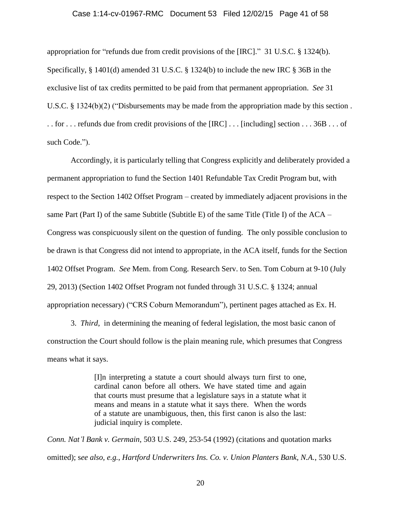### Case 1:14-cv-01967-RMC Document 53 Filed 12/02/15 Page 41 of 58

appropriation for "refunds due from credit provisions of the [IRC]." 31 U.S.C. § 1324(b). Specifically, § 1401(d) amended 31 U.S.C. § 1324(b) to include the new IRC § 36B in the exclusive list of tax credits permitted to be paid from that permanent appropriation. *See* 31 U.S.C. § 1324(b)(2) ("Disbursements may be made from the appropriation made by this section . . . for . . . refunds due from credit provisions of the [IRC] . . . [including] section . . . 36B . . . of such Code.").

Accordingly, it is particularly telling that Congress explicitly and deliberately provided a permanent appropriation to fund the Section 1401 Refundable Tax Credit Program but, with respect to the Section 1402 Offset Program – created by immediately adjacent provisions in the same Part (Part I) of the same Subtitle (Subtitle E) of the same Title (Title I) of the  $ACA-$ Congress was conspicuously silent on the question of funding. The only possible conclusion to be drawn is that Congress did not intend to appropriate, in the ACA itself, funds for the Section 1402 Offset Program. *See* Mem. from Cong. Research Serv. to Sen. Tom Coburn at 9-10 (July 29, 2013) (Section 1402 Offset Program not funded through 31 U.S.C. § 1324; annual appropriation necessary) ("CRS Coburn Memorandum"), pertinent pages attached as Ex. H.

3. *Third*, in determining the meaning of federal legislation, the most basic canon of construction the Court should follow is the plain meaning rule, which presumes that Congress means what it says.

> [I]n interpreting a statute a court should always turn first to one, cardinal canon before all others. We have stated time and again that courts must presume that a legislature says in a statute what it means and means in a statute what it says there. When the words of a statute are unambiguous, then, this first canon is also the last: judicial inquiry is complete.

*Conn. Nat'l Bank v. Germain*, 503 U.S. 249, 253-54 (1992) (citations and quotation marks omitted); s*ee also, e.g.*, *Hartford Underwriters Ins. Co. v. Union Planters Bank, N.A.*, 530 U.S.

20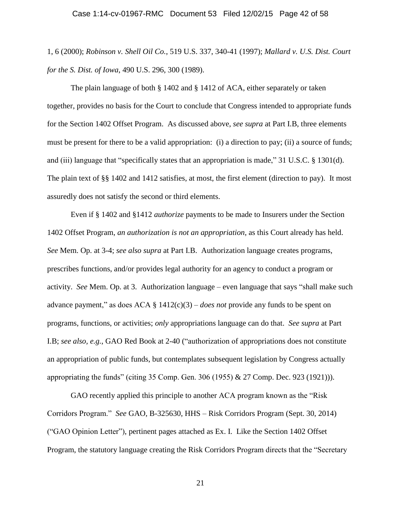1, 6 (2000); *Robinson v. Shell Oil Co.*, 519 U.S. 337, 340-41 (1997); *Mallard v. U.S. Dist. Court for the S. Dist. of Iowa*, 490 U.S. 296, 300 (1989).

The plain language of both § 1402 and § 1412 of ACA, either separately or taken together, provides no basis for the Court to conclude that Congress intended to appropriate funds for the Section 1402 Offset Program. As discussed above, *see supra* at Part I.B, three elements must be present for there to be a valid appropriation: (i) a direction to pay; (ii) a source of funds; and (iii) language that "specifically states that an appropriation is made," 31 U.S.C. § 1301(d). The plain text of §§ 1402 and 1412 satisfies, at most, the first element (direction to pay). It most assuredly does not satisfy the second or third elements.

Even if § 1402 and §1412 *authorize* payments to be made to Insurers under the Section 1402 Offset Program, *an authorization is not an appropriation*, as this Court already has held. *See* Mem. Op. at 3-4; *see also supra* at Part I.B. Authorization language creates programs, prescribes functions, and/or provides legal authority for an agency to conduct a program or activity. *See* Mem. Op. at 3. Authorization language – even language that says "shall make such advance payment," as does ACA § 1412(c)(3) – *does not* provide any funds to be spent on programs, functions, or activities; *only* appropriations language can do that. *See supra* at Part I.B; *see also, e.g.*, GAO Red Book at 2-40 ("authorization of appropriations does not constitute an appropriation of public funds, but contemplates subsequent legislation by Congress actually appropriating the funds" (citing 35 Comp. Gen. 306 (1955) & 27 Comp. Dec. 923 (1921))).

GAO recently applied this principle to another ACA program known as the "Risk Corridors Program." *See* GAO, B-325630, HHS – Risk Corridors Program (Sept. 30, 2014) ("GAO Opinion Letter"), pertinent pages attached as Ex. I. Like the Section 1402 Offset Program, the statutory language creating the Risk Corridors Program directs that the "Secretary

21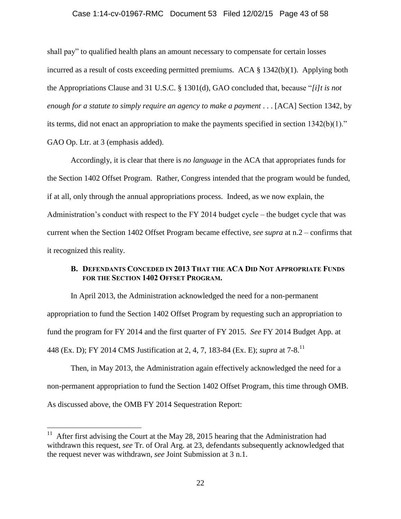#### Case 1:14-cv-01967-RMC Document 53 Filed 12/02/15 Page 43 of 58

shall pay" to qualified health plans an amount necessary to compensate for certain losses incurred as a result of costs exceeding permitted premiums. ACA § 1342(b)(1). Applying both the Appropriations Clause and 31 U.S.C. § 1301(d), GAO concluded that, because "*[i]t is not enough for a statute to simply require an agency to make a payment* . . . [ACA] Section 1342, by its terms, did not enact an appropriation to make the payments specified in section 1342(b)(1)." GAO Op. Ltr. at 3 (emphasis added).

Accordingly, it is clear that there is *no language* in the ACA that appropriates funds for the Section 1402 Offset Program. Rather, Congress intended that the program would be funded, if at all, only through the annual appropriations process. Indeed, as we now explain, the Administration's conduct with respect to the FY 2014 budget cycle – the budget cycle that was current when the Section 1402 Offset Program became effective, *see supra* at n.2 – confirms that it recognized this reality.

## **B. DEFENDANTS CONCEDED IN 2013 THAT THE ACA DID NOT APPROPRIATE FUNDS FOR THE SECTION 1402 OFFSET PROGRAM.**

In April 2013, the Administration acknowledged the need for a non-permanent appropriation to fund the Section 1402 Offset Program by requesting such an appropriation to fund the program for FY 2014 and the first quarter of FY 2015. *See* FY 2014 Budget App. at 448 (Ex. D); FY 2014 CMS Justification at 2, 4, 7, 183-84 (Ex. E); *supra* at 7-8. 11

Then, in May 2013, the Administration again effectively acknowledged the need for a non-permanent appropriation to fund the Section 1402 Offset Program, this time through OMB. As discussed above, the OMB FY 2014 Sequestration Report:

<sup>&</sup>lt;sup>11</sup> After first advising the Court at the May 28, 2015 hearing that the Administration had withdrawn this request, *see* Tr. of Oral Arg. at 23, defendants subsequently acknowledged that the request never was withdrawn, *see* Joint Submission at 3 n.1.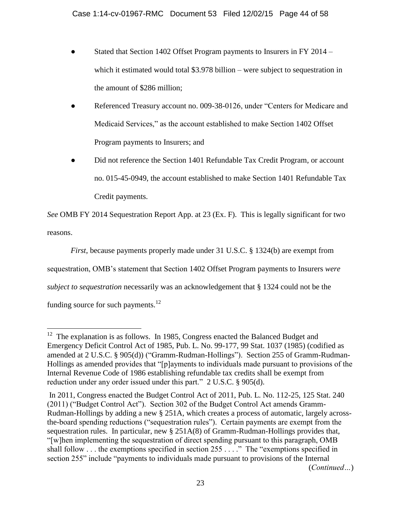- Stated that Section 1402 Offset Program payments to Insurers in FY 2014 which it estimated would total \$3.978 billion – were subject to sequestration in the amount of \$286 million;
- Referenced Treasury account no. 009-38-0126, under "Centers for Medicare and Medicaid Services," as the account established to make Section 1402 Offset Program payments to Insurers; and
- Did not reference the Section 1401 Refundable Tax Credit Program, or account no. 015-45-0949, the account established to make Section 1401 Refundable Tax Credit payments.

*See* OMB FY 2014 Sequestration Report App. at 23 (Ex. F). This is legally significant for two reasons.

*First*, because payments properly made under 31 U.S.C. § 1324(b) are exempt from

sequestration, OMB's statement that Section 1402 Offset Program payments to Insurers *were* 

*subject to sequestration* necessarily was an acknowledgement that § 1324 could not be the

funding source for such payments.<sup>12</sup>

<sup>&</sup>lt;sup>12</sup> The explanation is as follows. In 1985, Congress enacted the Balanced Budget and Emergency Deficit Control Act of 1985, Pub. L. No. 99-177, 99 Stat. 1037 (1985) (codified as amended at 2 U.S.C. § 905(d)) ("Gramm-Rudman-Hollings"). Section 255 of Gramm-Rudman-Hollings as amended provides that "[p]ayments to individuals made pursuant to provisions of the Internal Revenue Code of 1986 establishing refundable tax credits shall be exempt from reduction under any order issued under this part." 2 U.S.C. § 905(d).

In 2011, Congress enacted the Budget Control Act of 2011, Pub. L. No. 112-25, 125 Stat. 240 (2011) ("Budget Control Act"). Section 302 of the Budget Control Act amends Gramm-Rudman-Hollings by adding a new § 251A, which creates a process of automatic, largely acrossthe-board spending reductions ("sequestration rules"). Certain payments are exempt from the sequestration rules. In particular, new  $\S 251A(8)$  of Gramm-Rudman-Hollings provides that, "[w]hen implementing the sequestration of direct spending pursuant to this paragraph, OMB shall follow . . . the exemptions specified in section 255 . . . ." The "exemptions specified in section 255" include "payments to individuals made pursuant to provisions of the Internal (*Continued…*)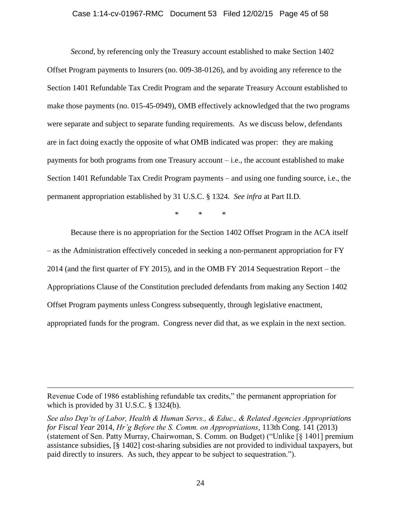#### Case 1:14-cv-01967-RMC Document 53 Filed 12/02/15 Page 45 of 58

*Second*, by referencing only the Treasury account established to make Section 1402 Offset Program payments to Insurers (no. 009-38-0126), and by avoiding any reference to the Section 1401 Refundable Tax Credit Program and the separate Treasury Account established to make those payments (no. 015-45-0949), OMB effectively acknowledged that the two programs were separate and subject to separate funding requirements. As we discuss below, defendants are in fact doing exactly the opposite of what OMB indicated was proper: they are making payments for both programs from one Treasury account – i.e., the account established to make Section 1401 Refundable Tax Credit Program payments – and using one funding source, i.e., the permanent appropriation established by 31 U.S.C. § 1324. *See infra* at Part II.D.

\* \* \*

Because there is no appropriation for the Section 1402 Offset Program in the ACA itself – as the Administration effectively conceded in seeking a non-permanent appropriation for FY 2014 (and the first quarter of FY 2015), and in the OMB FY 2014 Sequestration Report – the Appropriations Clause of the Constitution precluded defendants from making any Section 1402 Offset Program payments unless Congress subsequently, through legislative enactment, appropriated funds for the program. Congress never did that, as we explain in the next section.

Revenue Code of 1986 establishing refundable tax credits," the permanent appropriation for which is provided by 31 U.S.C. § 1324(b).

*See also Dep'ts of Labor, Health & Human Servs., & Educ., & Related Agencies Appropriations for Fiscal Year* 2014, *Hr'g Before the S. Comm. on Appropriations*, 113th Cong. 141 (2013) (statement of Sen. Patty Murray, Chairwoman, S. Comm. on Budget) ("Unlike [§ 1401] premium assistance subsidies, [§ 1402] cost-sharing subsidies are not provided to individual taxpayers, but paid directly to insurers. As such, they appear to be subject to sequestration.").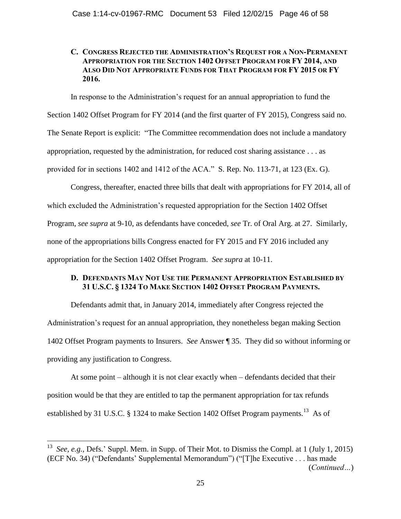## **C. CONGRESS REJECTED THE ADMINISTRATION'S REQUEST FOR A NON-PERMANENT APPROPRIATION FOR THE SECTION 1402 OFFSET PROGRAM FOR FY 2014, AND ALSO DID NOT APPROPRIATE FUNDS FOR THAT PROGRAM FOR FY 2015 OR FY 2016.**

In response to the Administration's request for an annual appropriation to fund the

Section 1402 Offset Program for FY 2014 (and the first quarter of FY 2015), Congress said no. The Senate Report is explicit: "The Committee recommendation does not include a mandatory appropriation, requested by the administration, for reduced cost sharing assistance . . . as provided for in sections 1402 and 1412 of the ACA." S. Rep. No. 113-71, at 123 (Ex. G).

Congress, thereafter, enacted three bills that dealt with appropriations for FY 2014, all of which excluded the Administration's requested appropriation for the Section 1402 Offset Program, *see supra* at 9-10, as defendants have conceded, *see* Tr. of Oral Arg. at 27. Similarly, none of the appropriations bills Congress enacted for FY 2015 and FY 2016 included any appropriation for the Section 1402 Offset Program. *See supra* at 10-11.

## **D. DEFENDANTS MAY NOT USE THE PERMANENT APPROPRIATION ESTABLISHED BY 31 U.S.C. § 1324 TO MAKE SECTION 1402 OFFSET PROGRAM PAYMENTS.**

Defendants admit that, in January 2014, immediately after Congress rejected the Administration's request for an annual appropriation, they nonetheless began making Section 1402 Offset Program payments to Insurers. *See* Answer ¶ 35. They did so without informing or providing any justification to Congress.

At some point – although it is not clear exactly when – defendants decided that their position would be that they are entitled to tap the permanent appropriation for tax refunds established by 31 U.S.C. § 1324 to make Section 1402 Offset Program payments.<sup>13</sup> As of

<sup>&</sup>lt;sup>13</sup> See, e.g., Defs.' Suppl. Mem. in Supp. of Their Mot. to Dismiss the Compl. at 1 (July 1, 2015) (ECF No. 34) ("Defendants' Supplemental Memorandum") ("[T]he Executive . . . has made (*Continued…*)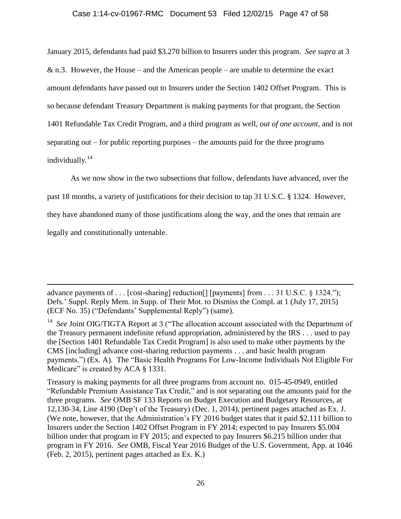#### Case 1:14-cv-01967-RMC Document 53 Filed 12/02/15 Page 47 of 58

January 2015, defendants had paid \$3.270 billion to Insurers under this program. *See supra* at 3 & n.3. However, the House – and the American people – are unable to determine the exact amount defendants have passed out to Insurers under the Section 1402 Offset Program. This is so because defendant Treasury Department is making payments for that program, the Section 1401 Refundable Tax Credit Program, and a third program as well, *out of one account*, and is not separating out – for public reporting purposes – the amounts paid for the three programs individually.<sup>14</sup>

As we now show in the two subsections that follow, defendants have advanced, over the past 18 months, a variety of justifications for their decision to tap 31 U.S.C. § 1324. However, they have abandoned many of those justifications along the way, and the ones that remain are legally and constitutionally untenable.

 $\overline{a}$ 

Treasury is making payments for all three programs from account no. 015-45-0949, entitled "Refundable Premium Assistance Tax Credit," and is not separating out the amounts paid for the three programs. *See* OMB SF 133 Reports on Budget Execution and Budgetary Resources, at 12,130-34, Line 4190 (Dep't of the Treasury) (Dec. 1, 2014), pertinent pages attached as Ex. J. (We note, however, that the Administration's FY 2016 budget states that it paid \$2.111 billion to Insurers under the Section 1402 Offset Program in FY 2014; expected to pay Insurers \$5.004 billion under that program in FY 2015; and expected to pay Insurers \$6.215 billion under that program in FY 2016. *See* OMB, Fiscal Year 2016 Budget of the U.S. Government, App. at 1046 (Feb. 2, 2015), pertinent pages attached as Ex. K.)

advance payments of . . . [cost-sharing] reduction[] [payments] from . . . 31 U.S.C. § 1324."); Defs.' Suppl. Reply Mem. in Supp. of Their Mot. to Dismiss the Compl. at 1 (July 17, 2015) (ECF No. 35) ("Defendants' Supplemental Reply") (same).

<sup>&</sup>lt;sup>14</sup> See Joint OIG/TIGTA Report at 3 ("The allocation account associated with the Department of the Treasury permanent indefinite refund appropriation, administered by the IRS . . . used to pay the [Section 1401 Refundable Tax Credit Program] is also used to make other payments by the CMS [including] advance cost-sharing reduction payments . . . and basic health program payments.") (Ex. A). The "Basic Health Programs For Low-Income Individuals Not Eligible For Medicare" is created by ACA § 1331.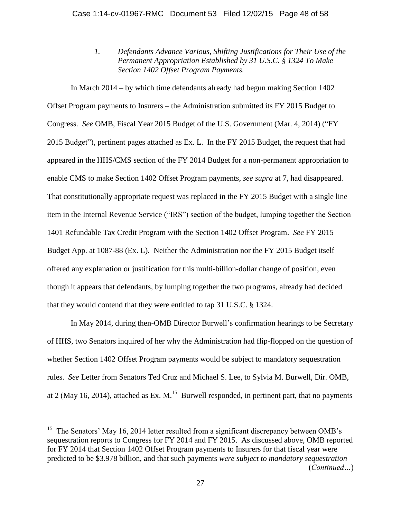*1. Defendants Advance Various, Shifting Justifications for Their Use of the Permanent Appropriation Established by 31 U.S.C. § 1324 To Make Section 1402 Offset Program Payments.*

In March 2014 – by which time defendants already had begun making Section 1402 Offset Program payments to Insurers – the Administration submitted its FY 2015 Budget to Congress. *See* OMB, Fiscal Year 2015 Budget of the U.S. Government (Mar. 4, 2014) ("FY 2015 Budget"), pertinent pages attached as Ex. L. In the FY 2015 Budget, the request that had appeared in the HHS/CMS section of the FY 2014 Budget for a non-permanent appropriation to enable CMS to make Section 1402 Offset Program payments, *see supra* at 7, had disappeared. That constitutionally appropriate request was replaced in the FY 2015 Budget with a single line item in the Internal Revenue Service ("IRS") section of the budget, lumping together the Section 1401 Refundable Tax Credit Program with the Section 1402 Offset Program. *See* FY 2015 Budget App. at 1087-88 (Ex. L). Neither the Administration nor the FY 2015 Budget itself offered any explanation or justification for this multi-billion-dollar change of position, even though it appears that defendants, by lumping together the two programs, already had decided that they would contend that they were entitled to tap 31 U.S.C. § 1324.

In May 2014, during then-OMB Director Burwell's confirmation hearings to be Secretary of HHS, two Senators inquired of her why the Administration had flip-flopped on the question of whether Section 1402 Offset Program payments would be subject to mandatory sequestration rules. *See* Letter from Senators Ted Cruz and Michael S. Lee, to Sylvia M. Burwell, Dir. OMB, at 2 (May 16, 2014), attached as Ex. M.<sup>15</sup> Burwell responded, in pertinent part, that no payments

<sup>&</sup>lt;sup>15</sup> The Senators' May 16, 2014 letter resulted from a significant discrepancy between OMB's sequestration reports to Congress for FY 2014 and FY 2015. As discussed above, OMB reported for FY 2014 that Section 1402 Offset Program payments to Insurers for that fiscal year were predicted to be \$3.978 billion, and that such payments *were subject to mandatory sequestration* (*Continued…*)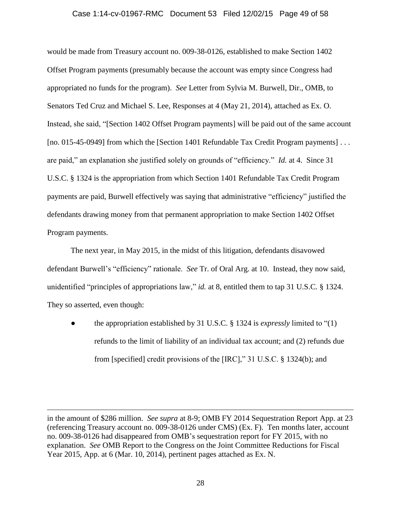#### Case 1:14-cv-01967-RMC Document 53 Filed 12/02/15 Page 49 of 58

would be made from Treasury account no. 009-38-0126, established to make Section 1402 Offset Program payments (presumably because the account was empty since Congress had appropriated no funds for the program). *See* Letter from Sylvia M. Burwell, Dir., OMB, to Senators Ted Cruz and Michael S. Lee, Responses at 4 (May 21, 2014), attached as Ex. O. Instead, she said, "[Section 1402 Offset Program payments] will be paid out of the same account [no. 015-45-0949] from which the [Section 1401 Refundable Tax Credit Program payments] . . . are paid," an explanation she justified solely on grounds of "efficiency." *Id.* at 4. Since 31 U.S.C. § 1324 is the appropriation from which Section 1401 Refundable Tax Credit Program payments are paid, Burwell effectively was saying that administrative "efficiency" justified the defendants drawing money from that permanent appropriation to make Section 1402 Offset Program payments.

The next year, in May 2015, in the midst of this litigation, defendants disavowed defendant Burwell's "efficiency" rationale. *See* Tr. of Oral Arg. at 10. Instead, they now said, unidentified "principles of appropriations law," *id.* at 8, entitled them to tap 31 U.S.C. § 1324. They so asserted, even though:

● the appropriation established by 31 U.S.C. § 1324 is *expressly* limited to "(1) refunds to the limit of liability of an individual tax account; and (2) refunds due from [specified] credit provisions of the [IRC]," 31 U.S.C. § 1324(b); and

in the amount of \$286 million. *See supra* at 8-9; OMB FY 2014 Sequestration Report App. at 23 (referencing Treasury account no. 009-38-0126 under CMS) (Ex. F). Ten months later, account no. 009-38-0126 had disappeared from OMB's sequestration report for FY 2015, with no explanation. *See* OMB Report to the Congress on the Joint Committee Reductions for Fiscal Year 2015, App. at 6 (Mar. 10, 2014), pertinent pages attached as Ex. N.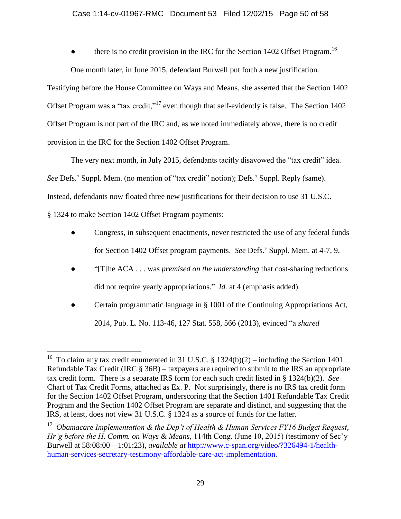there is no credit provision in the IRC for the Section 1402 Offset Program.<sup>16</sup>

One month later, in June 2015, defendant Burwell put forth a new justification.

Testifying before the House Committee on Ways and Means, she asserted that the Section 1402 Offset Program was a "tax credit,"<sup>17</sup> even though that self-evidently is false. The Section 1402 Offset Program is not part of the IRC and, as we noted immediately above, there is no credit provision in the IRC for the Section 1402 Offset Program.

The very next month, in July 2015, defendants tacitly disavowed the "tax credit" idea. *See* Defs.' Suppl. Mem. (no mention of "tax credit" notion); Defs.' Suppl. Reply (same). Instead, defendants now floated three new justifications for their decision to use 31 U.S.C. § 1324 to make Section 1402 Offset Program payments:

- Congress, in subsequent enactments, never restricted the use of any federal funds for Section 1402 Offset program payments. *See* Defs.' Suppl. Mem. at 4-7, 9.
- "[T]he ACA . . . was *premised on the understanding* that cost-sharing reductions did not require yearly appropriations." *Id.* at 4 (emphasis added).
- Certain programmatic language in § 1001 of the Continuing Appropriations Act, 2014, Pub. L. No. 113-46, 127 Stat. 558, 566 (2013), evinced "a *shared*

<sup>&</sup>lt;sup>16</sup> To claim any tax credit enumerated in 31 U.S.C. § 1324(b)(2) – including the Section 1401 Refundable Tax Credit (IRC  $\S$  36B) – taxpayers are required to submit to the IRS an appropriate tax credit form. There is a separate IRS form for each such credit listed in § 1324(b)(2). *See* Chart of Tax Credit Forms, attached as Ex. P. Not surprisingly, there is no IRS tax credit form for the Section 1402 Offset Program, underscoring that the Section 1401 Refundable Tax Credit Program and the Section 1402 Offset Program are separate and distinct, and suggesting that the IRS, at least, does not view 31 U.S.C. § 1324 as a source of funds for the latter.

<sup>&</sup>lt;sup>17</sup> Obamacare Implementation & the Dep't of Health & Human Services FY16 Budget Request, *Hr'g before the H. Comm. on Ways & Means*, 114th Cong. (June 10, 2015) (testimony of Sec'y Burwell at 58:08:00 – 1:01:23), *available at* [http://www.c-span.org/video/?326494-1/health](http://www.c-span.org/video/?326494-1/health-human-services-secretary-testimony-affordable-care-act-implementation)[human-services-secretary-testimony-affordable-care-act-implementation.](http://www.c-span.org/video/?326494-1/health-human-services-secretary-testimony-affordable-care-act-implementation)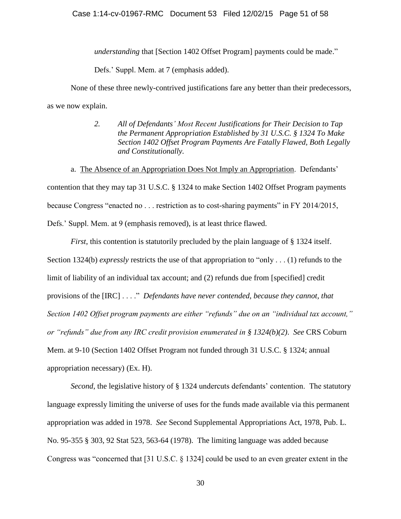*understanding* that [Section 1402 Offset Program] payments could be made."

Defs.' Suppl. Mem. at 7 (emphasis added).

None of these three newly-contrived justifications fare any better than their predecessors, as we now explain.

> *2. All of Defendants' Most Recent Justifications for Their Decision to Tap the Permanent Appropriation Established by 31 U.S.C. § 1324 To Make Section 1402 Offset Program Payments Are Fatally Flawed, Both Legally and Constitutionally.*

a. The Absence of an Appropriation Does Not Imply an Appropriation. Defendants' contention that they may tap 31 U.S.C. § 1324 to make Section 1402 Offset Program payments because Congress "enacted no . . . restriction as to cost-sharing payments" in FY 2014/2015, Defs.' Suppl. Mem. at 9 (emphasis removed), is at least thrice flawed.

*First*, this contention is statutorily precluded by the plain language of § 1324 itself. Section 1324(b) *expressly* restricts the use of that appropriation to "only . . . (1) refunds to the limit of liability of an individual tax account; and (2) refunds due from [specified] credit provisions of the [IRC] . . . ." *Defendants have never contended, because they cannot, that Section 1402 Offset program payments are either "refunds" due on an "individual tax account," or "refunds" due from any IRC credit provision enumerated in § 1324(b)(2)*. *See* CRS Coburn Mem. at 9-10 (Section 1402 Offset Program not funded through 31 U.S.C. § 1324; annual appropriation necessary) (Ex. H).

*Second*, the legislative history of § 1324 undercuts defendants' contention. The statutory language expressly limiting the universe of uses for the funds made available via this permanent appropriation was added in 1978. *See* Second Supplemental Appropriations Act, 1978, Pub. L. No. 95-355 § 303, 92 Stat 523, 563-64 (1978). The limiting language was added because Congress was "concerned that [31 U.S.C. § 1324] could be used to an even greater extent in the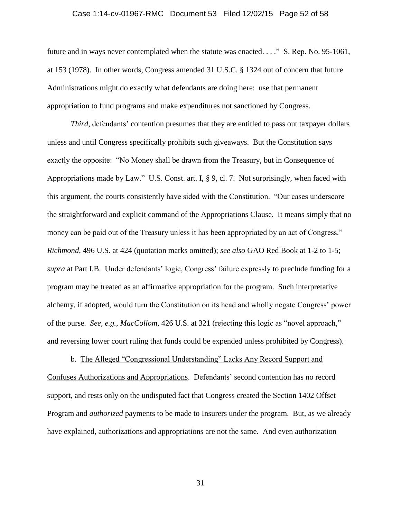#### Case 1:14-cv-01967-RMC Document 53 Filed 12/02/15 Page 52 of 58

future and in ways never contemplated when the statute was enacted. . . ." S. Rep. No. 95-1061, at 153 (1978). In other words, Congress amended 31 U.S.C. § 1324 out of concern that future Administrations might do exactly what defendants are doing here: use that permanent appropriation to fund programs and make expenditures not sanctioned by Congress.

*Third*, defendants' contention presumes that they are entitled to pass out taxpayer dollars unless and until Congress specifically prohibits such giveaways. But the Constitution says exactly the opposite: "No Money shall be drawn from the Treasury, but in Consequence of Appropriations made by Law." U.S. Const. art. I, § 9, cl. 7. Not surprisingly, when faced with this argument, the courts consistently have sided with the Constitution. "Our cases underscore the straightforward and explicit command of the Appropriations Clause. It means simply that no money can be paid out of the Treasury unless it has been appropriated by an act of Congress." *Richmond*, 496 U.S. at 424 (quotation marks omitted); *see also* GAO Red Book at 1-2 to 1-5; *supra* at Part I.B. Under defendants' logic, Congress' failure expressly to preclude funding for a program may be treated as an affirmative appropriation for the program. Such interpretative alchemy, if adopted, would turn the Constitution on its head and wholly negate Congress' power of the purse. *See, e.g.*, *MacCollom*, 426 U.S. at 321 (rejecting this logic as "novel approach," and reversing lower court ruling that funds could be expended unless prohibited by Congress).

b. The Alleged "Congressional Understanding" Lacks Any Record Support and Confuses Authorizations and Appropriations. Defendants' second contention has no record support, and rests only on the undisputed fact that Congress created the Section 1402 Offset Program and *authorized* payments to be made to Insurers under the program. But, as we already have explained, authorizations and appropriations are not the same. And even authorization

31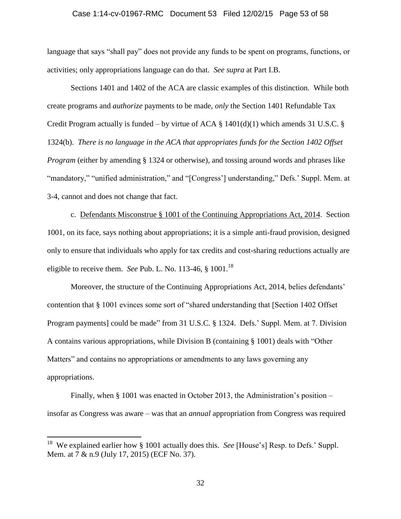#### Case 1:14-cv-01967-RMC Document 53 Filed 12/02/15 Page 53 of 58

language that says "shall pay" does not provide any funds to be spent on programs, functions, or activities; only appropriations language can do that. *See supra* at Part I.B.

Sections 1401 and 1402 of the ACA are classic examples of this distinction. While both create programs and *authorize* payments to be made, *only* the Section 1401 Refundable Tax Credit Program actually is funded – by virtue of ACA  $\S$  1401(d)(1) which amends 31 U.S.C.  $\S$ 1324(b). *There is no language in the ACA that appropriates funds for the Section 1402 Offset Program* (either by amending § 1324 or otherwise), and tossing around words and phrases like "mandatory," "unified administration," and "[Congress'] understanding," Defs.' Suppl. Mem. at 3-4, cannot and does not change that fact.

c. Defendants Misconstrue § 1001 of the Continuing Appropriations Act, 2014. Section 1001, on its face, says nothing about appropriations; it is a simple anti-fraud provision, designed only to ensure that individuals who apply for tax credits and cost-sharing reductions actually are eligible to receive them. *See* Pub. L. No. 113-46, § 1001.<sup>18</sup>

Moreover, the structure of the Continuing Appropriations Act, 2014, belies defendants' contention that § 1001 evinces some sort of "shared understanding that [Section 1402 Offset Program payments] could be made" from 31 U.S.C. § 1324. Defs.' Suppl. Mem. at 7. Division A contains various appropriations, while Division B (containing § 1001) deals with "Other Matters" and contains no appropriations or amendments to any laws governing any appropriations.

Finally, when § 1001 was enacted in October 2013, the Administration's position – insofar as Congress was aware – was that an *annual* appropriation from Congress was required

<sup>&</sup>lt;sup>18</sup> We explained earlier how § 1001 actually does this. *See* [House's] Resp. to Defs.' Suppl. Mem. at 7 & n.9 (July 17, 2015) (ECF No. 37).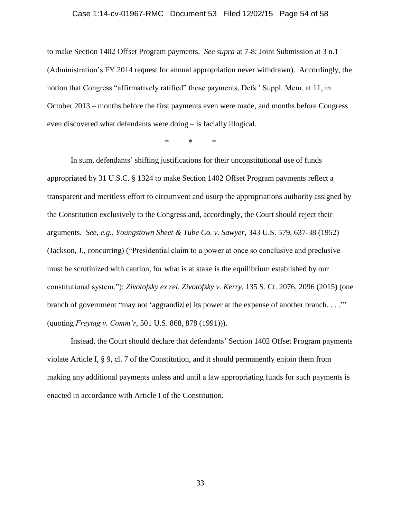#### Case 1:14-cv-01967-RMC Document 53 Filed 12/02/15 Page 54 of 58

to make Section 1402 Offset Program payments. *See supra* at 7-8; Joint Submission at 3 n.1 (Administration's FY 2014 request for annual appropriation never withdrawn). Accordingly, the notion that Congress "affirmatively ratified" those payments, Defs.' Suppl. Mem. at 11, in October 2013 – months before the first payments even were made, and months before Congress even discovered what defendants were doing – is facially illogical.

\* \* \*

In sum, defendants' shifting justifications for their unconstitutional use of funds appropriated by 31 U.S.C. § 1324 to make Section 1402 Offset Program payments reflect a transparent and meritless effort to circumvent and usurp the appropriations authority assigned by the Constitution exclusively to the Congress and, accordingly, the Court should reject their arguments. *See, e.g.*, *Youngstown Sheet & Tube Co. v. Sawyer*, 343 U.S. 579, 637-38 (1952) (Jackson, J., concurring) ("Presidential claim to a power at once so conclusive and preclusive must be scrutinized with caution, for what is at stake is the equilibrium established by our constitutional system."); *Zivotofsky ex rel. Zivotofsky v. Kerry*, 135 S. Ct. 2076, 2096 (2015) (one branch of government "may not 'aggrandiz<sup>[e]</sup> its power at the expense of another branch. . . . " (quoting *Freytag v. Comm'r*, 501 U.S. 868, 878 (1991))).

Instead, the Court should declare that defendants' Section 1402 Offset Program payments violate Article I, § 9, cl. 7 of the Constitution, and it should permanently enjoin them from making any additional payments unless and until a law appropriating funds for such payments is enacted in accordance with Article I of the Constitution.

33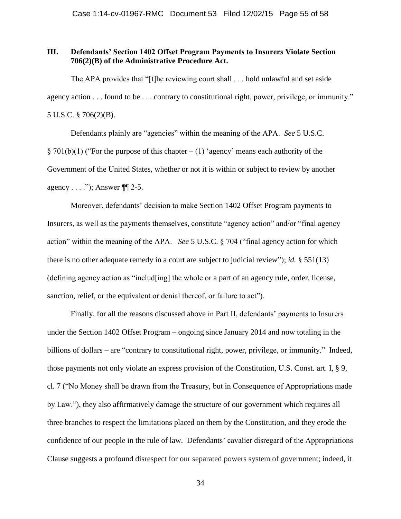### **III. Defendants' Section 1402 Offset Program Payments to Insurers Violate Section 706(2)(B) of the Administrative Procedure Act.**

The APA provides that "[t]he reviewing court shall . . . hold unlawful and set aside agency action . . . found to be . . . contrary to constitutional right, power, privilege, or immunity." 5 U.S.C. § 706(2)(B).

Defendants plainly are "agencies" within the meaning of the APA. *See* 5 U.S.C.  $§ 701(b)(1)$  ("For the purpose of this chapter – (1) 'agency' means each authority of the Government of the United States, whether or not it is within or subject to review by another agency . . . ."); Answer ¶¶ 2-5.

Moreover, defendants' decision to make Section 1402 Offset Program payments to Insurers, as well as the payments themselves, constitute "agency action" and/or "final agency action" within the meaning of the APA. *See* 5 U.S.C. § 704 ("final agency action for which there is no other adequate remedy in a court are subject to judicial review"); *id.* § 551(13) (defining agency action as "includ[ing] the whole or a part of an agency rule, order, license, sanction, relief, or the equivalent or denial thereof, or failure to act").

Finally, for all the reasons discussed above in Part II, defendants' payments to Insurers under the Section 1402 Offset Program – ongoing since January 2014 and now totaling in the billions of dollars – are "contrary to constitutional right, power, privilege, or immunity." Indeed, those payments not only violate an express provision of the Constitution, U.S. Const. art. I, § 9, cl. 7 ("No Money shall be drawn from the Treasury, but in Consequence of Appropriations made by Law."), they also affirmatively damage the structure of our government which requires all three branches to respect the limitations placed on them by the Constitution, and they erode the confidence of our people in the rule of law. Defendants' cavalier disregard of the Appropriations Clause suggests a profound disrespect for our separated powers system of government; indeed, it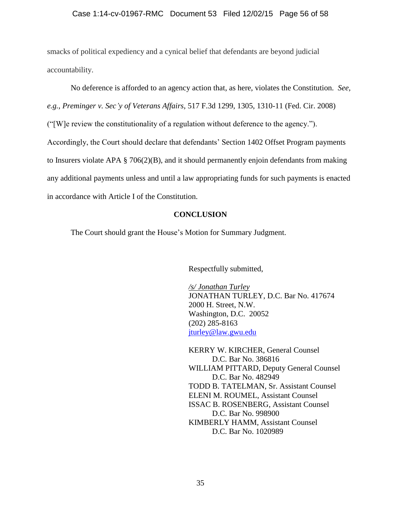### Case 1:14-cv-01967-RMC Document 53 Filed 12/02/15 Page 56 of 58

smacks of political expediency and a cynical belief that defendants are beyond judicial accountability.

No deference is afforded to an agency action that, as here, violates the Constitution. *See,* 

*e.g.*, *Preminger v. Sec'y of Veterans Affairs*[, 517 F.3d 1299, 1305, 1310-11 \(Fed. Cir. 2008\)](http://www.lexis.com/research/buttonTFLink?_m=4a6248fa4e35f84f487b9dffe8f03f6c&_xfercite=%253ccite%20cc%253d%2522USA%2522%253e%253c%2521%255bCDATA%255b14%20Berkeley%20J.%20Crim.%20L.%20329%255d%255d%253e%253c%252fcite%253e&_butType=3&_butStat=2&_butNum=682&_butInline=1&_butinfo=%253ccite%20cc%253d%2522USA%2522%253e%253c%2521%255bCDATA%255b517%20F.3d%201299%252cat%201305%255d%255d%253e%253c%252fcite%253e&_fmtstr=FULL&docnum=1&_startdoc=1&wchp=dGLbVzt-zSkAz&_md5=ab21debd362ea4d58fd30348aa47a112)

("[W]e review the constitutionality of a regulation without deference to the agency.").

Accordingly, the Court should declare that defendants' Section 1402 Offset Program payments

to Insurers violate APA § 706(2)(B), and it should permanently enjoin defendants from making

any additional payments unless and until a law appropriating funds for such payments is enacted

in accordance with Article I of the Constitution.

### **CONCLUSION**

The Court should grant the House's Motion for Summary Judgment.

Respectfully submitted,

*/s/ Jonathan Turley* JONATHAN TURLEY, D.C. Bar No. 417674 2000 H. Street, N.W. Washington, D.C. 20052 (202) 285-8163 [jturley@law.gwu.edu](mailto:jturley@law.gwu.edu)

KERRY W. KIRCHER, General Counsel D.C. Bar No. 386816 WILLIAM PITTARD, Deputy General Counsel D.C. Bar No. 482949 TODD B. TATELMAN, Sr. Assistant Counsel ELENI M. ROUMEL, Assistant Counsel ISSAC B. ROSENBERG, Assistant Counsel D.C. Bar No. 998900 KIMBERLY HAMM, Assistant Counsel D.C. Bar No. 1020989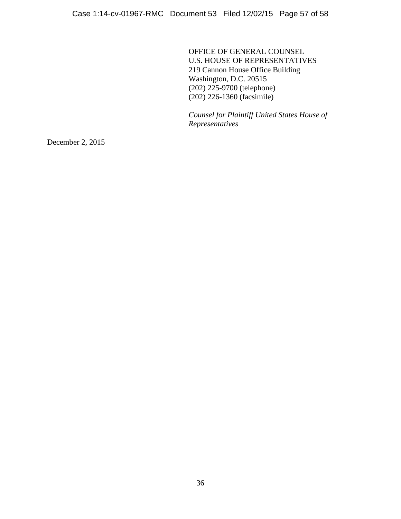OFFICE OF GENERAL COUNSEL U.S. HOUSE OF REPRESENTATIVES 219 Cannon House Office Building Washington, D.C. 20515 (202) 225-9700 (telephone) (202) 226-1360 (facsimile)

*Counsel for Plaintiff United States House of Representatives*

December 2, 2015